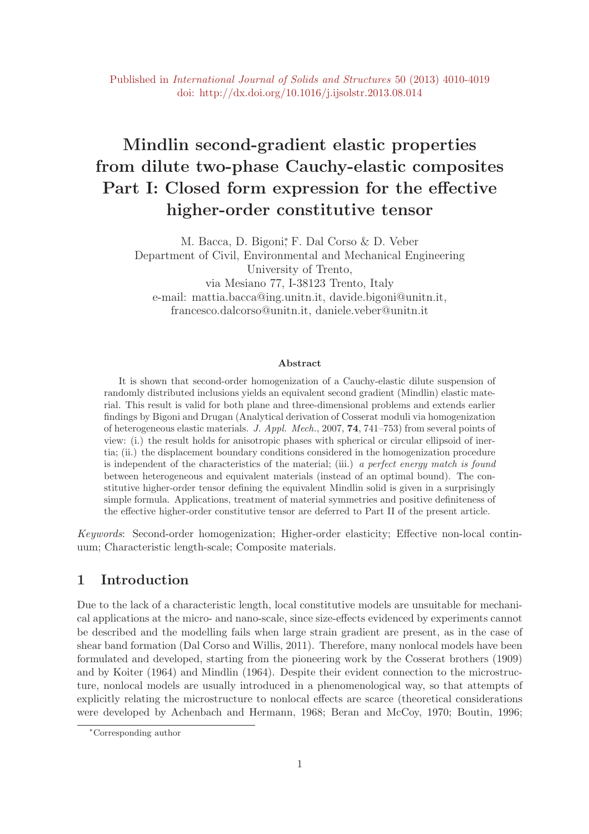# Mindlin second-gradient elastic properties from dilute two-phase Cauchy-elastic composites Part I: Closed form expression for the effective higher-order constitutive tensor

M. Bacca, D. Bigoni<sup>\*</sup>, F. Dal Corso & D. Veber Department of Civil, Environmental and Mechanical Engineering University of Trento, via Mesiano 77, I-38123 Trento, Italy e-mail: mattia.bacca@ing.unitn.it, davide.bigoni@unitn.it, francesco.dalcorso@unitn.it, daniele.veber@unitn.it

#### Abstract

It is shown that second-order homogenization of a Cauchy-elastic dilute suspension of randomly distributed inclusions yields an equivalent second gradient (Mindlin) elastic material. This result is valid for both plane and three-dimensional problems and extends earlier findings by Bigoni and Drugan (Analytical derivation of Cosserat moduli via homogenization of heterogeneous elastic materials. J. Appl. Mech., 2007, 74, 741–753) from several points of view: (i.) the result holds for anisotropic phases with spherical or circular ellipsoid of inertia; (ii.) the displacement boundary conditions considered in the homogenization procedure is independent of the characteristics of the material; (iii.) a perfect energy match is found between heterogeneous and equivalent materials (instead of an optimal bound). The constitutive higher-order tensor defining the equivalent Mindlin solid is given in a surprisingly simple formula. Applications, treatment of material symmetries and positive definiteness of the effective higher-order constitutive tensor are deferred to Part II of the present article.

Keywords: Second-order homogenization; Higher-order elasticity; Effective non-local continuum; Characteristic length-scale; Composite materials.

## 1 Introduction

Due to the lack of a characteristic length, local constitutive models are unsuitable for mechanical applications at the micro- and nano-scale, since size-effects evidenced by experiments cannot be described and the modelling fails when large strain gradient are present, as in the case of shear band formation (Dal Corso and Willis, 2011). Therefore, many nonlocal models have been formulated and developed, starting from the pioneering work by the Cosserat brothers (1909) and by Koiter (1964) and Mindlin (1964). Despite their evident connection to the microstructure, nonlocal models are usually introduced in a phenomenological way, so that attempts of explicitly relating the microstructure to nonlocal effects are scarce (theoretical considerations were developed by Achenbach and Hermann, 1968; Beran and McCoy, 1970; Boutin, 1996;

<sup>∗</sup>Corresponding author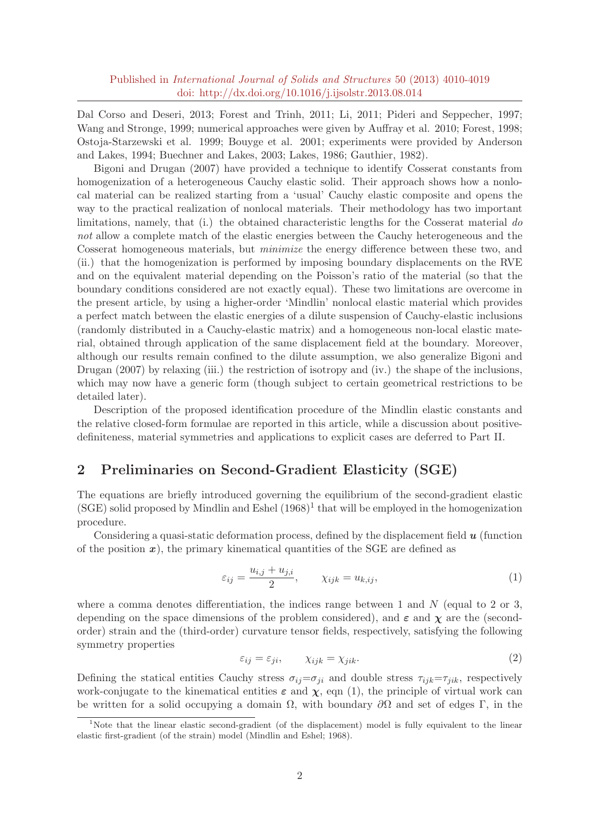Dal Corso and Deseri, 2013; Forest and Trinh, 2011; Li, 2011; Pideri and Seppecher, 1997; Wang and Stronge, 1999; numerical approaches were given by Auffray et al. 2010; Forest, 1998; Ostoja-Starzewski et al. 1999; Bouyge et al. 2001; experiments were provided by Anderson and Lakes, 1994; Buechner and Lakes, 2003; Lakes, 1986; Gauthier, 1982).

Bigoni and Drugan (2007) have provided a technique to identify Cosserat constants from homogenization of a heterogeneous Cauchy elastic solid. Their approach shows how a nonlocal material can be realized starting from a 'usual' Cauchy elastic composite and opens the way to the practical realization of nonlocal materials. Their methodology has two important limitations, namely, that  $(i)$  the obtained characteristic lengths for the Cosserat material do not allow a complete match of the elastic energies between the Cauchy heterogeneous and the Cosserat homogeneous materials, but minimize the energy difference between these two, and (ii.) that the homogenization is performed by imposing boundary displacements on the RVE and on the equivalent material depending on the Poisson's ratio of the material (so that the boundary conditions considered are not exactly equal). These two limitations are overcome in the present article, by using a higher-order 'Mindlin' nonlocal elastic material which provides a perfect match between the elastic energies of a dilute suspension of Cauchy-elastic inclusions (randomly distributed in a Cauchy-elastic matrix) and a homogeneous non-local elastic material, obtained through application of the same displacement field at the boundary. Moreover, although our results remain confined to the dilute assumption, we also generalize Bigoni and Drugan (2007) by relaxing (iii.) the restriction of isotropy and (iv.) the shape of the inclusions, which may now have a generic form (though subject to certain geometrical restrictions to be detailed later).

Description of the proposed identification procedure of the Mindlin elastic constants and the relative closed-form formulae are reported in this article, while a discussion about positivedefiniteness, material symmetries and applications to explicit cases are deferred to Part II.

## 2 Preliminaries on Second-Gradient Elasticity (SGE)

The equations are briefly introduced governing the equilibrium of the second-gradient elastic  $(SGE)$  solid proposed by Mindlin and Eshel  $(1968)^1$  that will be employed in the homogenization procedure.

Considering a quasi-static deformation process, defined by the displacement field  $\boldsymbol{u}$  (function of the position  $x$ ), the primary kinematical quantities of the SGE are defined as

$$
\varepsilon_{ij} = \frac{u_{i,j} + u_{j,i}}{2}, \qquad \chi_{ijk} = u_{k,ij}, \tag{1}
$$

where a comma denotes differentiation, the indices range between 1 and  $N$  (equal to 2 or 3, depending on the space dimensions of the problem considered), and  $\varepsilon$  and  $\chi$  are the (secondorder) strain and the (third-order) curvature tensor fields, respectively, satisfying the following symmetry properties

$$
\varepsilon_{ij} = \varepsilon_{ji}, \qquad \chi_{ijk} = \chi_{jik}.
$$

Defining the statical entities Cauchy stress  $\sigma_{ij} = \sigma_{ji}$  and double stress  $\tau_{ijk} = \tau_{jik}$ , respectively work-conjugate to the kinematical entities  $\varepsilon$  and  $\chi$ , eqn (1), the principle of virtual work can be written for a solid occupying a domain  $\Omega$ , with boundary  $\partial\Omega$  and set of edges Γ, in the

<sup>&</sup>lt;sup>1</sup>Note that the linear elastic second-gradient (of the displacement) model is fully equivalent to the linear elastic first-gradient (of the strain) model (Mindlin and Eshel; 1968).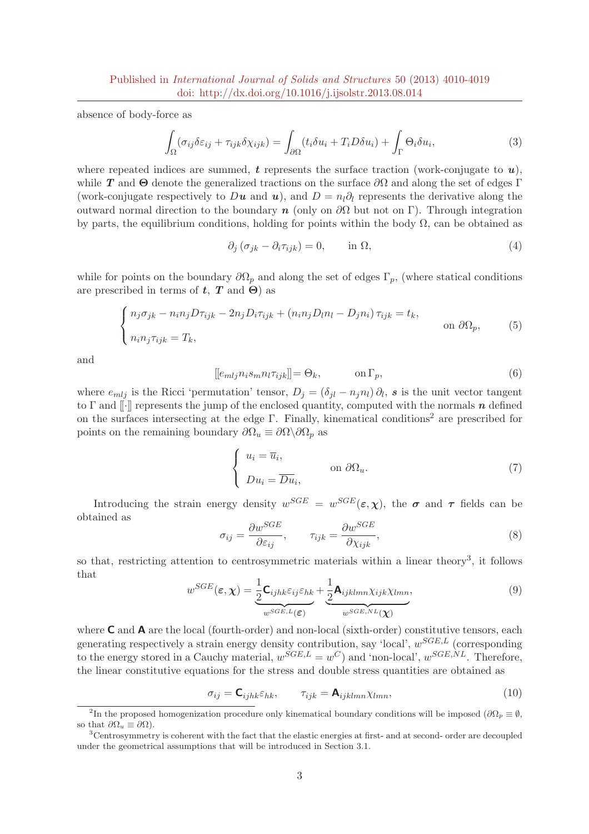absence of body-force as

$$
\int_{\Omega} (\sigma_{ij}\delta\varepsilon_{ij} + \tau_{ijk}\delta\chi_{ijk}) = \int_{\partial\Omega} (t_i\delta u_i + T_i D\delta u_i) + \int_{\Gamma} \Theta_i \delta u_i,\tag{3}
$$

where repeated indices are summed, t represents the surface traction (work-conjugate to  $u$ ). while T and  $\Theta$  denote the generalized tractions on the surface  $\partial\Omega$  and along the set of edges Γ (work-conjugate respectively to Du and u), and  $D = n_l \partial_l$  represents the derivative along the outward normal direction to the boundary n (only on  $\partial\Omega$  but not on Γ). Through integration by parts, the equilibrium conditions, holding for points within the body  $\Omega$ , can be obtained as

$$
\partial_j \left( \sigma_{jk} - \partial_i \tau_{ijk} \right) = 0, \qquad \text{in } \Omega,
$$
\n<sup>(4)</sup>

while for points on the boundary  $\partial\Omega_p$  and along the set of edges  $\Gamma_p$ , (where statical conditions are prescribed in terms of  $t, T$  and  $\Theta$ ) as

$$
\begin{cases} n_j \sigma_{jk} - n_i n_j D \tau_{ijk} - 2n_j D_i \tau_{ijk} + (n_i n_j D_l n_l - D_j n_i) \tau_{ijk} = t_k, \\ n_i n_j \tau_{ijk} = T_k, \end{cases}
$$
 on  $\partial \Omega_p$ , (5)

and

$$
[[e_{mlj}n_i s_m n_l \tau_{ijk}]] = \Theta_k, \qquad \text{on } \Gamma_p,\tag{6}
$$

where  $e_{mlj}$  is the Ricci 'permutation' tensor,  $D_j = (\delta_{jl} - n_j n_l) \partial_l$ , s is the unit vector tangent to  $\Gamma$  and  $\lbrack\lbrack\cdot\rbrack\rbrack$  represents the jump of the enclosed quantity, computed with the normals  $n$  defined on the surfaces intersecting at the edge  $\Gamma$ . Finally, kinematical conditions<sup>2</sup> are prescribed for points on the remaining boundary  $\partial\Omega_u \equiv \partial\Omega \backslash \partial\Omega_p$  as

$$
\begin{cases}\n u_i = \overline{u}_i, \\
 Du_i = \overline{Du}_i,\n\end{cases}\n\text{ on } \partial\Omega_u.
$$
\n(7)

Introducing the strain energy density  $w^{SGE} = w^{SGE}(\varepsilon, \chi)$ , the  $\sigma$  and  $\tau$  fields can be obtained as

$$
\sigma_{ij} = \frac{\partial w^{SGE}}{\partial \varepsilon_{ij}}, \qquad \tau_{ijk} = \frac{\partial w^{SGE}}{\partial \chi_{ijk}}, \tag{8}
$$

so that, restricting attention to centrosymmetric materials within a linear theory<sup>3</sup>, it follows that

$$
w^{SGE}(\varepsilon, \chi) = \underbrace{\frac{1}{2} \mathbf{C}_{ijhk} \varepsilon_{ij} \varepsilon_{hk}}_{w^{SGE, L}(\varepsilon)} + \underbrace{\frac{1}{2} \mathbf{A}_{ijklmn} \chi_{ijk} \chi_{lmn}}_{w^{SGE, NL}(\chi)},
$$
(9)

where **C** and **A** are the local (fourth-order) and non-local (sixth-order) constitutive tensors, each generating respectively a strain energy density contribution, say 'local',  $w^{SGE,L}$  (corresponding to the energy stored in a Cauchy material,  $w^{SGE,L} = w^C$  and 'non-local',  $w^{SGE,NL}$ . Therefore, the linear constitutive equations for the stress and double stress quantities are obtained as

$$
\sigma_{ij} = \mathbf{C}_{ijhk} \varepsilon_{hk}, \qquad \tau_{ijk} = \mathbf{A}_{ijklmn} \chi_{lmn}, \tag{10}
$$

<sup>&</sup>lt;sup>2</sup>In the proposed homogenization procedure only kinematical boundary conditions will be imposed  $(\partial\Omega_p \equiv \emptyset, \mathcal{O})$ so that  $\partial\Omega_u \equiv \partial\Omega$ ).

<sup>3</sup>Centrosymmetry is coherent with the fact that the elastic energies at first- and at second- order are decoupled under the geometrical assumptions that will be introduced in Section 3.1.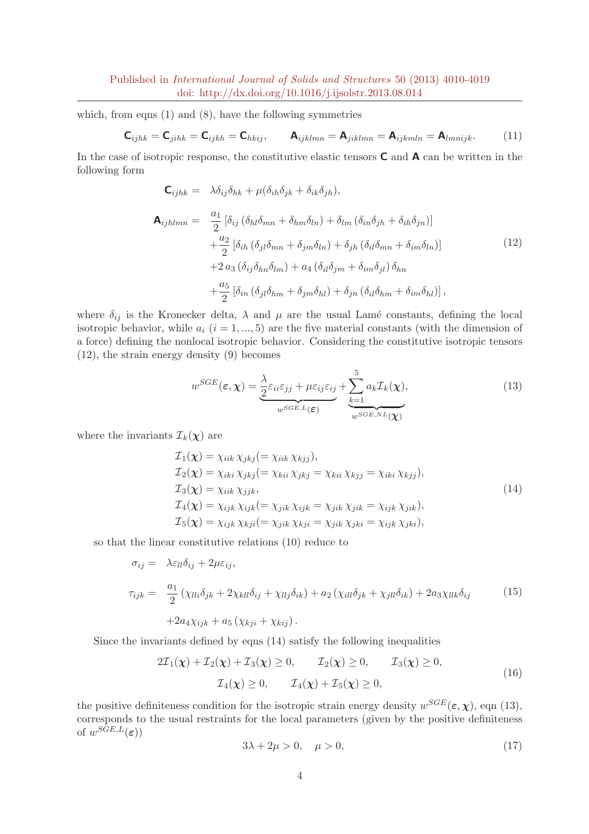which, from eqns  $(1)$  and  $(8)$ , have the following symmetries

$$
\mathbf{C}_{ijhk} = \mathbf{C}_{jihk} = \mathbf{C}_{ijkh} = \mathbf{C}_{hkij}, \qquad \mathbf{A}_{ijklmn} = \mathbf{A}_{jiklmn} = \mathbf{A}_{ijkmln} = \mathbf{A}_{lmnijk}.
$$
 (11)

In the case of isotropic response, the constitutive elastic tensors  $C$  and  $A$  can be written in the following form

$$
\mathbf{C}_{ijhk} = \lambda \delta_{ij} \delta_{hk} + \mu (\delta_{ih} \delta_{jk} + \delta_{ik} \delta_{jh}),
$$
  
\n
$$
\mathbf{A}_{ijhlmn} = \frac{a_1}{2} [\delta_{ij} (\delta_{hl} \delta_{mn} + \delta_{hm} \delta_{ln}) + \delta_{lm} (\delta_{in} \delta_{jh} + \delta_{ih} \delta_{jn})]
$$
  
\n
$$
+ \frac{a_2}{2} [\delta_{ih} (\delta_{jl} \delta_{mn} + \delta_{jm} \delta_{ln}) + \delta_{jh} (\delta_{il} \delta_{mn} + \delta_{im} \delta_{ln})]
$$
  
\n
$$
+ 2 a_3 (\delta_{ij} \delta_{hn} \delta_{lm}) + a_4 (\delta_{il} \delta_{jm} + \delta_{im} \delta_{jl}) \delta_{hn}
$$
  
\n
$$
+ \frac{a_5}{2} [\delta_{in} (\delta_{jl} \delta_{hm} + \delta_{jm} \delta_{hl}) + \delta_{jn} (\delta_{il} \delta_{hm} + \delta_{im} \delta_{hl})],
$$
  
\n(12)

where  $\delta_{ij}$  is the Kronecker delta,  $\lambda$  and  $\mu$  are the usual Lamé constants, defining the local isotropic behavior, while  $a_i$  ( $i = 1, ..., 5$ ) are the five material constants (with the dimension of a force) defining the nonlocal isotropic behavior. Considering the constitutive isotropic tensors (12), the strain energy density (9) becomes

$$
w^{SGE}(\varepsilon, \chi) = \underbrace{\frac{\lambda}{2} \varepsilon_{ii} \varepsilon_{jj} + \mu \varepsilon_{ij} \varepsilon_{ij}}_{w^{SGE, L}(\varepsilon)} + \underbrace{\sum_{k=1}^{5} a_k \mathcal{I}_k(\chi)}_{w^{SGE, NL}(\chi)},
$$
(13)

where the invariants  $\mathcal{I}_k(\boldsymbol{\chi})$  are

$$
\mathcal{I}_1(\chi) = \chi_{iik} \chi_{jkj} (= \chi_{iik} \chi_{kjj}),
$$
  
\n
$$
\mathcal{I}_2(\chi) = \chi_{iki} \chi_{jkj} (= \chi_{kii} \chi_{jkj} = \chi_{kii} \chi_{kjj} = \chi_{iki} \chi_{kjj}),
$$
  
\n
$$
\mathcal{I}_3(\chi) = \chi_{iik} \chi_{jjk},
$$
  
\n
$$
\mathcal{I}_4(\chi) = \chi_{ijk} \chi_{ijk} (= \chi_{jik} \chi_{ijk} = \chi_{jik} \chi_{jik} = \chi_{ijk} \chi_{jik}),
$$
  
\n
$$
\mathcal{I}_5(\chi) = \chi_{ijk} \chi_{kji} (= \chi_{jik} \chi_{kji} = \chi_{jik} \chi_{jki} = \chi_{ijk} \chi_{jki}),
$$
  
\n(14)

so that the linear constitutive relations (10) reduce to

$$
\sigma_{ij} = \lambda \varepsilon_{ll} \delta_{ij} + 2\mu \varepsilon_{ij},
$$
  
\n
$$
\tau_{ijk} = \frac{a_1}{2} (\chi_{lli} \delta_{jk} + 2\chi_{kll} \delta_{ij} + \chi_{llj} \delta_{ik}) + a_2 (\chi_{ill} \delta_{jk} + \chi_{jll} \delta_{ik}) + 2a_3 \chi_{llk} \delta_{ij}
$$
 (15)  
\n
$$
+ 2a_4 \chi_{ijk} + a_5 (\chi_{kji} + \chi_{kij}).
$$

Since the invariants defined by eqns (14) satisfy the following inequalities

$$
2\mathcal{I}_1(\chi) + \mathcal{I}_2(\chi) + \mathcal{I}_3(\chi) \ge 0, \qquad \mathcal{I}_2(\chi) \ge 0, \qquad \mathcal{I}_3(\chi) \ge 0,
$$
  

$$
\mathcal{I}_4(\chi) \ge 0, \qquad \mathcal{I}_4(\chi) + \mathcal{I}_5(\chi) \ge 0,
$$
 (16)

the positive definiteness condition for the isotropic strain energy density  $w^{SGE}(\varepsilon, \chi)$ , eqn (13), corresponds to the usual restraints for the local parameters (given by the positive definiteness of  $w^{SGE,L}(\varepsilon)$ )

$$
3\lambda + 2\mu > 0, \quad \mu > 0,\tag{17}
$$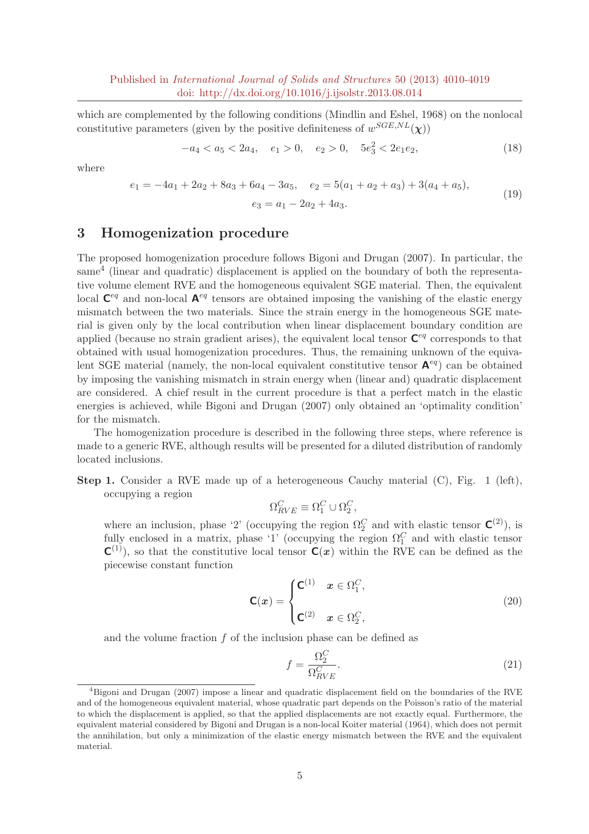which are complemented by the following conditions (Mindlin and Eshel, 1968) on the nonlocal constitutive parameters (given by the positive definiteness of  $w^{SGE,NL}(\chi)$ )

$$
-a_4 < a_5 < 2a_4, \quad e_1 > 0, \quad e_2 > 0, \quad 5e_3^2 < 2e_1e_2,\tag{18}
$$

where

$$
e_1 = -4a_1 + 2a_2 + 8a_3 + 6a_4 - 3a_5, \quad e_2 = 5(a_1 + a_2 + a_3) + 3(a_4 + a_5),
$$
  

$$
e_3 = a_1 - 2a_2 + 4a_3.
$$
 (19)

## 3 Homogenization procedure

The proposed homogenization procedure follows Bigoni and Drugan (2007). In particular, the same<sup>4</sup> (linear and quadratic) displacement is applied on the boundary of both the representative volume element RVE and the homogeneous equivalent SGE material. Then, the equivalent local  $\mathbf{C}^{eq}$  and non-local  $\mathbf{A}^{eq}$  tensors are obtained imposing the vanishing of the elastic energy mismatch between the two materials. Since the strain energy in the homogeneous SGE material is given only by the local contribution when linear displacement boundary condition are applied (because no strain gradient arises), the equivalent local tensor  $\mathbf{C}^{eq}$  corresponds to that obtained with usual homogenization procedures. Thus, the remaining unknown of the equivalent SGE material (namely, the non-local equivalent constitutive tensor  $A^{eq}$ ) can be obtained by imposing the vanishing mismatch in strain energy when (linear and) quadratic displacement are considered. A chief result in the current procedure is that a perfect match in the elastic energies is achieved, while Bigoni and Drugan (2007) only obtained an 'optimality condition' for the mismatch.

The homogenization procedure is described in the following three steps, where reference is made to a generic RVE, although results will be presented for a diluted distribution of randomly located inclusions.

**Step 1.** Consider a RVE made up of a heterogeneous Cauchy material  $(C)$ , Fig. 1 (left), occupying a region

$$
\Omega_{RVE}^C \equiv \Omega_1^C \cup \Omega_2^C,
$$

where an inclusion, phase '2' (occupying the region  $\Omega_2^C$  and with elastic tensor  $\mathbf{C}^{(2)}$ ), is fully enclosed in a matrix, phase '1' (occupying the region  $\Omega_1^C$  and with elastic tensor  $C^{(1)}$ , so that the constitutive local tensor  $C(x)$  within the RVE can be defined as the piecewise constant function

$$
\mathbf{C}(\boldsymbol{x}) = \begin{cases} \mathbf{C}^{(1)} & \boldsymbol{x} \in \Omega_1^C, \\ \mathbf{C}^{(2)} & \boldsymbol{x} \in \Omega_2^C, \end{cases} \tag{20}
$$

and the volume fraction  $f$  of the inclusion phase can be defined as

$$
f = \frac{\Omega_S^C}{\Omega_{RVE}^C}.\tag{21}
$$

<sup>4</sup>Bigoni and Drugan (2007) impose a linear and quadratic displacement field on the boundaries of the RVE and of the homogeneous equivalent material, whose quadratic part depends on the Poisson's ratio of the material to which the displacement is applied, so that the applied displacements are not exactly equal. Furthermore, the equivalent material considered by Bigoni and Drugan is a non-local Koiter material (1964), which does not permit the annihilation, but only a minimization of the elastic energy mismatch between the RVE and the equivalent material.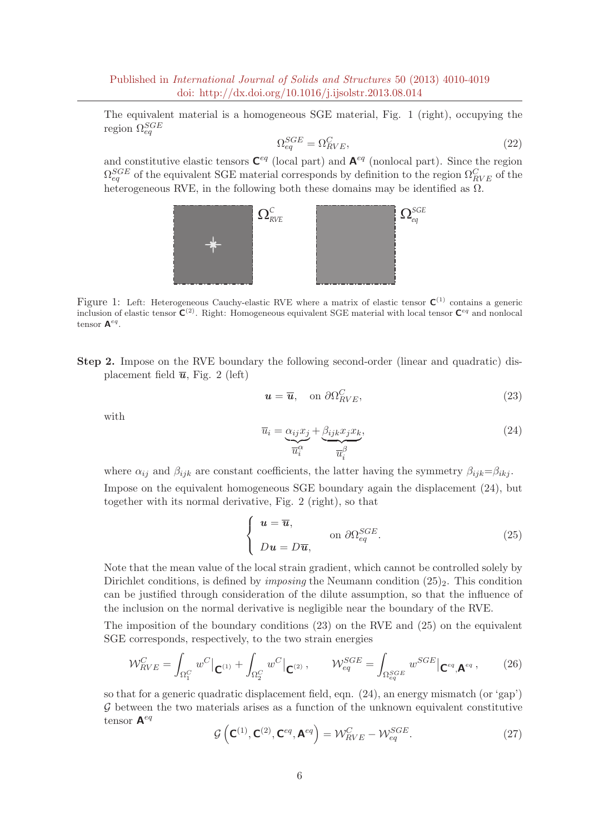The equivalent material is a homogeneous SGE material, Fig. 1 (right), occupying the region  $\Omega_{eq}^{SGE}$ 

$$
\Omega_{eq}^{SGE} = \Omega_{RVE}^C,\tag{22}
$$

and constitutive elastic tensors  $\mathsf{C}^{eq}$  (local part) and  $\mathsf{A}^{eq}$  (nonlocal part). Since the region  $\Omega_{eq}^{SGE}$  of the equivalent SGE material corresponds by definition to the region  $\Omega_{RVE}^{C}$  of the heterogeneous RVE, in the following both these domains may be identified as  $\Omega$ .



Figure 1: Left: Heterogeneous Cauchy-elastic RVE where a matrix of elastic tensor  $C^{(1)}$  contains a generic inclusion of elastic tensor  $C^{(2)}$ . Right: Homogeneous equivalent SGE material with local tensor  $C^{eq}$  and nonlocal tensor  $\mathbf{A}^{eq}$ .

Step 2. Impose on the RVE boundary the following second-order (linear and quadratic) displacement field  $\bar{u}$ , Fig. 2 (left)

$$
\mathbf{u} = \overline{\mathbf{u}}, \quad \text{on } \partial \Omega_{RVE}^C,\tag{23}
$$

with

$$
\overline{u}_i = \underbrace{\alpha_{ij} x_j}_{\overline{u}_i^{\alpha}} + \underbrace{\beta_{ijk} x_j x_k}_{\overline{u}_i^{\beta}},\tag{24}
$$

where  $\alpha_{ij}$  and  $\beta_{ijk}$  are constant coefficients, the latter having the symmetry  $\beta_{ijk}=\beta_{ikj}$ . Impose on the equivalent homogeneous SGE boundary again the displacement (24), but together with its normal derivative, Fig. 2 (right), so that

$$
\begin{cases}\n\boldsymbol{u} = \overline{\boldsymbol{u}}, & \text{on } \partial \Omega_{eq}^{SGE}. \\
Du = D\overline{\boldsymbol{u}}, &\n\end{cases}
$$
\n(25)

Note that the mean value of the local strain gradient, which cannot be controlled solely by Dirichlet conditions, is defined by *imposing* the Neumann condition  $(25)_2$ . This condition can be justified through consideration of the dilute assumption, so that the influence of the inclusion on the normal derivative is negligible near the boundary of the RVE.

The imposition of the boundary conditions (23) on the RVE and (25) on the equivalent SGE corresponds, respectively, to the two strain energies

$$
\mathcal{W}_{RVE}^{C} = \int_{\Omega_{1}^{C}} w^{C} \vert_{\mathbf{C}^{(1)}} + \int_{\Omega_{2}^{C}} w^{C} \vert_{\mathbf{C}^{(2)}}, \qquad \mathcal{W}_{eq}^{SGE} = \int_{\Omega_{eq}^{SGE}} w^{SGE} \vert_{\mathbf{C}^{eq},\mathbf{A}^{eq}}, \qquad (26)
$$

so that for a generic quadratic displacement field, eqn. (24), an energy mismatch (or 'gap')  $\mathcal G$  between the two materials arises as a function of the unknown equivalent constitutive tensor  $\mathbf{A}^{eq}$ 

$$
\mathcal{G}\left(\mathbf{C}^{(1)},\mathbf{C}^{(2)},\mathbf{C}^{eq},\mathbf{A}^{eq}\right) = \mathcal{W}_{RVE}^{C} - \mathcal{W}_{eq}^{SGE}.
$$
\n(27)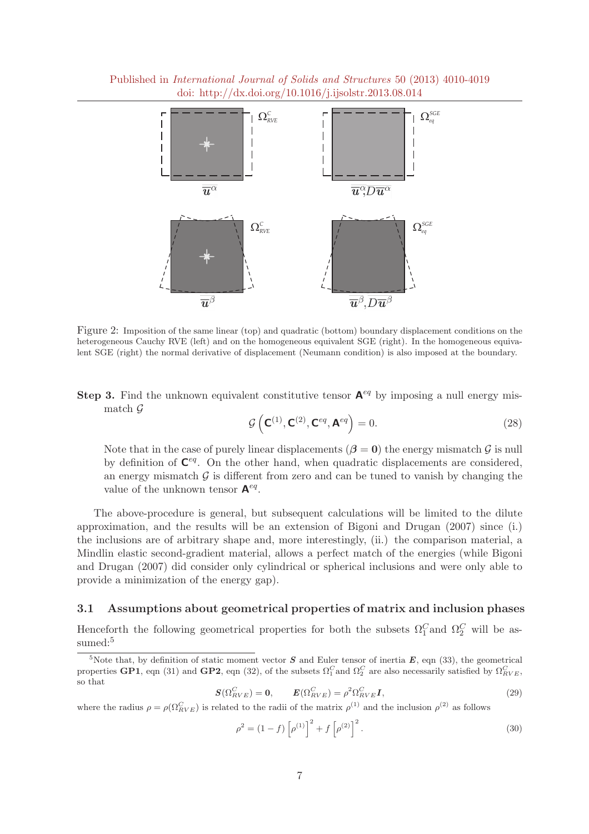Published in International Journal of Solids and Structures 50 (2013) 4010-4019 doi: http://dx.doi.org/10.1016/j.ijsolstr.2013.08.014



Figure 2: Imposition of the same linear (top) and quadratic (bottom) boundary displacement conditions on the heterogeneous Cauchy RVE (left) and on the homogeneous equivalent SGE (right). In the homogeneous equivalent SGE (right) the normal derivative of displacement (Neumann condition) is also imposed at the boundary.

**Step 3.** Find the unknown equivalent constitutive tensor  $A^{eq}$  by imposing a null energy mismatch G

$$
\mathcal{G}\left(\mathbf{C}^{(1)}, \mathbf{C}^{(2)}, \mathbf{C}^{eq}, \mathbf{A}^{eq}\right) = 0.
$$
\n(28)

Note that in the case of purely linear displacements ( $\beta = 0$ ) the energy mismatch  $\mathcal G$  is null by definition of  $\mathbf{C}^{eq}$ . On the other hand, when quadratic displacements are considered, an energy mismatch  $G$  is different from zero and can be tuned to vanish by changing the value of the unknown tensor  $A^{eq}$ .

The above-procedure is general, but subsequent calculations will be limited to the dilute approximation, and the results will be an extension of Bigoni and Drugan (2007) since (i.) the inclusions are of arbitrary shape and, more interestingly, (ii.) the comparison material, a Mindlin elastic second-gradient material, allows a perfect match of the energies (while Bigoni and Drugan (2007) did consider only cylindrical or spherical inclusions and were only able to provide a minimization of the energy gap).

#### 3.1 Assumptions about geometrical properties of matrix and inclusion phases

Henceforth the following geometrical properties for both the subsets  $\Omega_1^C$  and  $\Omega_2^C$  will be assumed:<sup>5</sup>

$$
\mathbf{S}(\Omega_{RVE}^{C}) = \mathbf{0}, \qquad \mathbf{E}(\Omega_{RVE}^{C}) = \rho^{2} \Omega_{RVE}^{C} \mathbf{I}, \tag{29}
$$

where the radius  $\rho = \rho(\Omega_{RVE}^C)$  is related to the radii of the matrix  $\rho^{(1)}$  and the inclusion  $\rho^{(2)}$  as follows

$$
\rho^2 = (1 - f) \left[ \rho^{(1)} \right]^2 + f \left[ \rho^{(2)} \right]^2. \tag{30}
$$

<sup>&</sup>lt;sup>5</sup>Note that, by definition of static moment vector S and Euler tensor of inertia  $E$ , eqn (33), the geometrical properties GP1, eqn (31) and GP2, eqn (32), of the subsets  $\Omega_1^C$  and  $\Omega_2^C$  are also necessarily satisfied by  $\Omega_{RVE}^C$ , so that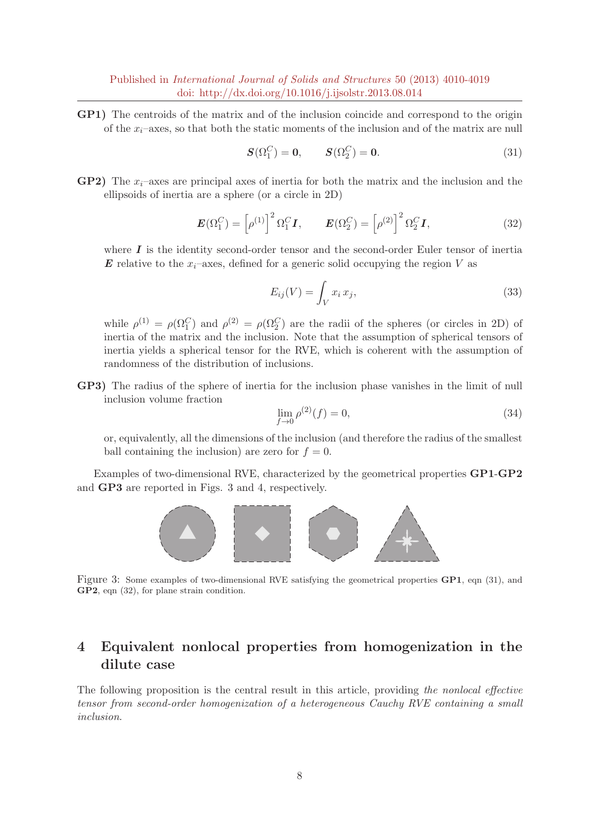GP1) The centroids of the matrix and of the inclusion coincide and correspond to the origin of the  $x_i$ –axes, so that both the static moments of the inclusion and of the matrix are null

$$
\mathbf{S}(\Omega_1^C) = \mathbf{0}, \qquad \mathbf{S}(\Omega_2^C) = \mathbf{0}.
$$
 (31)

**GP2**) The  $x_i$ –axes are principal axes of inertia for both the matrix and the inclusion and the ellipsoids of inertia are a sphere (or a circle in 2D)

$$
\boldsymbol{E}(\Omega_1^C) = \left[\rho^{(1)}\right]^2 \Omega_1^C \boldsymbol{I}, \qquad \boldsymbol{E}(\Omega_2^C) = \left[\rho^{(2)}\right]^2 \Omega_2^C \boldsymbol{I}, \tag{32}
$$

where  $I$  is the identity second-order tensor and the second-order Euler tensor of inertia **E** relative to the  $x_i$ –axes, defined for a generic solid occupying the region V as

$$
E_{ij}(V) = \int_V x_i x_j,
$$
\n(33)

while  $\rho^{(1)} = \rho(\Omega_1^C)$  and  $\rho^{(2)} = \rho(\Omega_2^C)$  are the radii of the spheres (or circles in 2D) of inertia of the matrix and the inclusion. Note that the assumption of spherical tensors of inertia yields a spherical tensor for the RVE, which is coherent with the assumption of randomness of the distribution of inclusions.

GP3) The radius of the sphere of inertia for the inclusion phase vanishes in the limit of null inclusion volume fraction

$$
\lim_{f \to 0} \rho^{(2)}(f) = 0,\tag{34}
$$

or, equivalently, all the dimensions of the inclusion (and therefore the radius of the smallest ball containing the inclusion) are zero for  $f = 0$ .

Examples of two-dimensional RVE, characterized by the geometrical properties GP1-GP2 and GP3 are reported in Figs. 3 and 4, respectively.



Figure 3: Some examples of two-dimensional RVE satisfying the geometrical properties GP1, eqn (31), and GP2, eqn (32), for plane strain condition.

## 4 Equivalent nonlocal properties from homogenization in the dilute case

The following proposition is the central result in this article, providing the nonlocal effective tensor from second-order homogenization of a heterogeneous Cauchy RVE containing a small inclusion.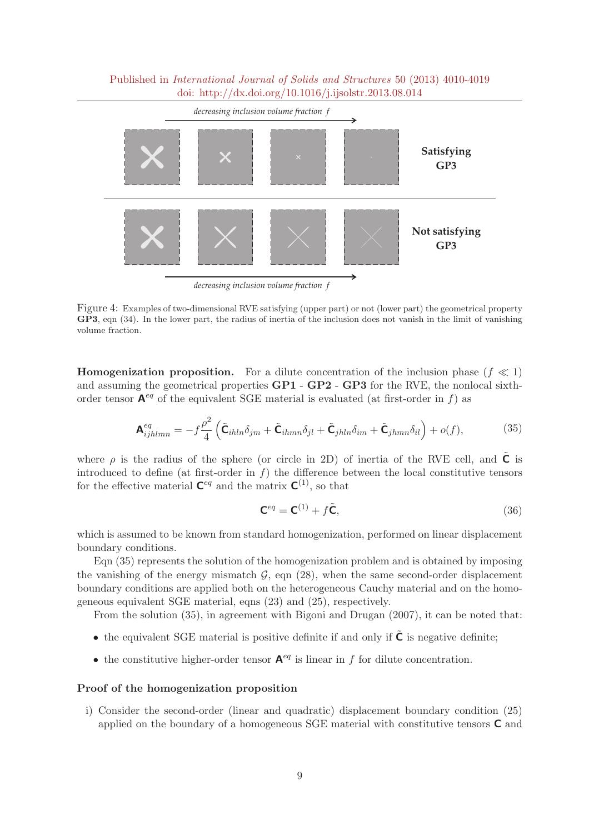

Figure 4: Examples of two-dimensional RVE satisfying (upper part) or not (lower part) the geometrical property GP3, eqn (34). In the lower part, the radius of inertia of the inclusion does not vanish in the limit of vanishing volume fraction.

**Homogenization proposition.** For a dilute concentration of the inclusion phase  $(f \ll 1)$ and assuming the geometrical properties GP1 - GP2 - GP3 for the RVE, the nonlocal sixthorder tensor  $A^{eq}$  of the equivalent SGE material is evaluated (at first-order in f) as

$$
\mathbf{A}_{ijhlmn}^{eq} = -f\frac{\rho^2}{4} \left( \tilde{\mathbf{C}}_{ihln}\delta_{jm} + \tilde{\mathbf{C}}_{ihmn}\delta_{jl} + \tilde{\mathbf{C}}_{jhln}\delta_{im} + \tilde{\mathbf{C}}_{jhmn}\delta_{il} \right) + o(f), \tag{35}
$$

where  $\rho$  is the radius of the sphere (or circle in 2D) of inertia of the RVE cell, and **C** is introduced to define (at first-order in  $f$ ) the difference between the local constitutive tensors for the effective material  $\mathbf{C}^{eq}$  and the matrix  $\mathbf{C}^{(1)}$ , so that

$$
\mathbf{C}^{eq} = \mathbf{C}^{(1)} + f\tilde{\mathbf{C}},\tag{36}
$$

which is assumed to be known from standard homogenization, performed on linear displacement boundary conditions.

Eqn (35) represents the solution of the homogenization problem and is obtained by imposing the vanishing of the energy mismatch  $\mathcal{G}$ , eqn (28), when the same second-order displacement boundary conditions are applied both on the heterogeneous Cauchy material and on the homogeneous equivalent SGE material, eqns (23) and (25), respectively.

From the solution (35), in agreement with Bigoni and Drugan (2007), it can be noted that:

- the equivalent SGE material is positive definite if and only if  $\tilde{\mathsf{C}}$  is negative definite;
- the constitutive higher-order tensor  $A^{eq}$  is linear in f for dilute concentration.

#### Proof of the homogenization proposition

i) Consider the second-order (linear and quadratic) displacement boundary condition (25) applied on the boundary of a homogeneous SGE material with constitutive tensors C and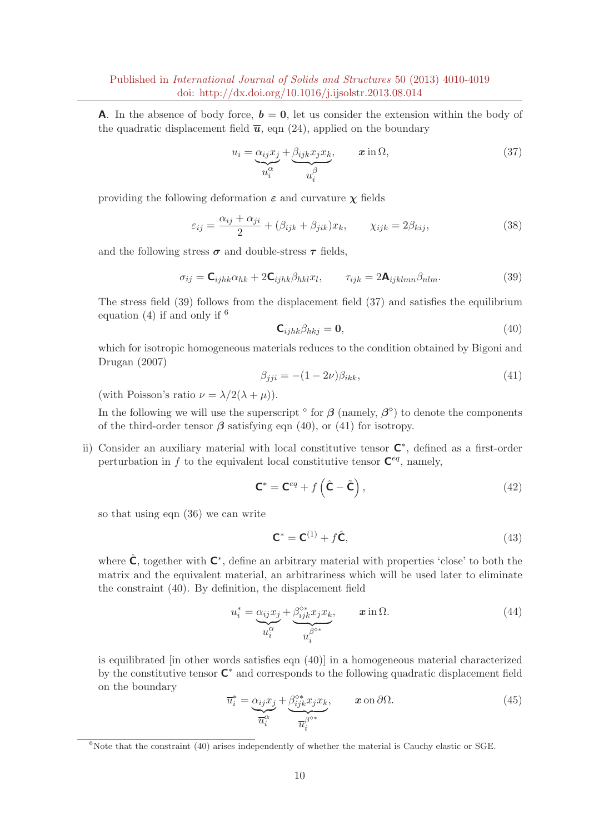**A.** In the absence of body force,  $b = 0$ , let us consider the extension within the body of the quadratic displacement field  $\bar{u}$ , eqn (24), applied on the boundary

$$
u_i = \underbrace{\alpha_{ij} x_j}_{u_i^{\alpha}} + \underbrace{\beta_{ijk} x_j x_k}_{u_i^{\beta}}, \qquad \mathbf{x} \text{ in } \Omega,
$$
\n
$$
(37)
$$

providing the following deformation  $\varepsilon$  and curvature  $\chi$  fields

$$
\varepsilon_{ij} = \frac{\alpha_{ij} + \alpha_{ji}}{2} + (\beta_{ijk} + \beta_{jik})x_k, \qquad \chi_{ijk} = 2\beta_{kij},
$$
\n(38)

and the following stress  $\sigma$  and double-stress  $\tau$  fields,

$$
\sigma_{ij} = \mathbf{C}_{ijhk}\alpha_{hk} + 2\mathbf{C}_{ijhk}\beta_{hkl}x_l, \qquad \tau_{ijk} = 2\mathbf{A}_{ijklmn}\beta_{nlm}.
$$
\n(39)

The stress field (39) follows from the displacement field (37) and satisfies the equilibrium equation (4) if and only if  $6$ 

$$
\mathbf{C}_{ijhk}\beta_{hkj} = \mathbf{0},\tag{40}
$$

which for isotropic homogeneous materials reduces to the condition obtained by Bigoni and Drugan (2007)

$$
\beta_{jji} = -(1 - 2\nu)\beta_{ikk},\tag{41}
$$

(with Poisson's ratio  $\nu = \lambda/2(\lambda + \mu)$ ).

In the following we will use the superscript  $\delta$  for  $\beta$  (namely,  $\beta^{\delta}$ ) to denote the components of the third-order tensor  $\beta$  satisfying eqn (40), or (41) for isotropy.

ii) Consider an auxiliary material with local constitutive tensor  $\mathsf{C}^*$ , defined as a first-order perturbation in f to the equivalent local constitutive tensor  $\mathbf{C}^{eq}$ , namely,

$$
\mathbf{C}^* = \mathbf{C}^{eq} + f\left(\hat{\mathbf{C}} - \tilde{\mathbf{C}}\right),\tag{42}
$$

so that using eqn (36) we can write

$$
\mathbf{C}^* = \mathbf{C}^{(1)} + f\hat{\mathbf{C}},\tag{43}
$$

where  $\hat{\mathsf{C}}$ , together with  $\mathsf{C}^*$ , define an arbitrary material with properties 'close' to both the matrix and the equivalent material, an arbitrariness which will be used later to eliminate the constraint (40). By definition, the displacement field

$$
u_i^* = \underbrace{\alpha_{ij} x_j}_{u_i^{\alpha}} + \underbrace{\beta_{ijk}^{\circ *} x_j x_k}_{u_i^{\beta^{\circ *}}}, \qquad \mathbf{x} \text{ in } \Omega. \tag{44}
$$

is equilibrated [in other words satisfies eqn (40)] in a homogeneous material characterized by the constitutive tensor  $\mathsf{C}^*$  and corresponds to the following quadratic displacement field on the boundary

$$
\overline{u}_i^* = \underbrace{\alpha_{ij} x_j}_{\overline{u}_i^{\alpha}} + \underbrace{\beta_{ijk}^{\circ *} x_j x_k}_{\overline{u}_i^{\beta^{\circ *}}}, \qquad \mathbf{x} \text{ on } \partial \Omega. \tag{45}
$$

 $6$ Note that the constraint (40) arises independently of whether the material is Cauchy elastic or SGE.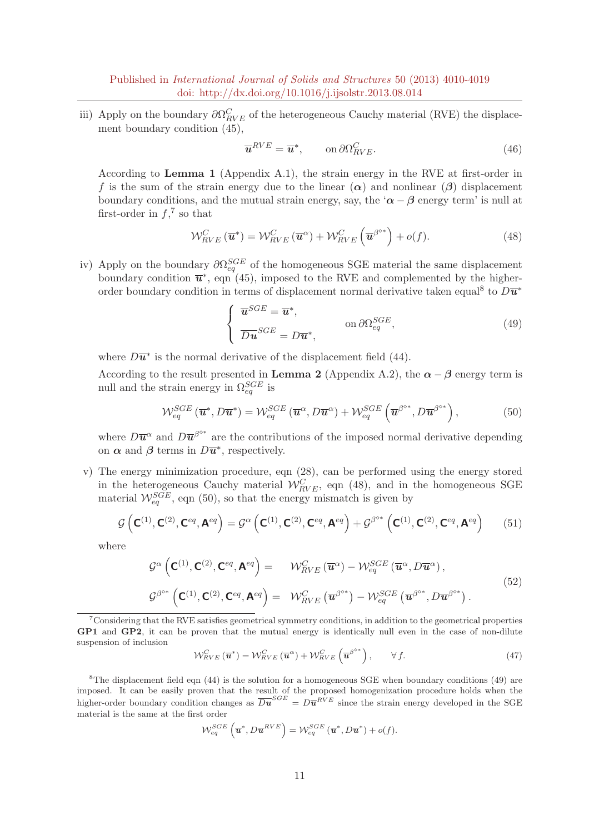iii) Apply on the boundary  $\partial \Omega_{RVE}^C$  of the heterogeneous Cauchy material (RVE) the displacement boundary condition (45),

$$
\overline{\mathbf{u}}^{RVE} = \overline{\mathbf{u}}^*, \qquad \text{on } \partial \Omega_{RVE}^C.
$$
 (46)

According to Lemma 1 (Appendix A.1), the strain energy in the RVE at first-order in f is the sum of the strain energy due to the linear  $(\alpha)$  and nonlinear  $(\beta)$  displacement boundary conditions, and the mutual strain energy, say, the ' $\alpha - \beta$  energy term' is null at first-order in  $f<sup>7</sup>$  so that

$$
\mathcal{W}_{RVE}^{C}(\overline{\boldsymbol{u}}^{*}) = \mathcal{W}_{RVE}^{C}(\overline{\boldsymbol{u}}^{\alpha}) + \mathcal{W}_{RVE}^{C}\left(\overline{\boldsymbol{u}}^{\beta^{o*}}\right) + o(f). \tag{48}
$$

iv) Apply on the boundary  $\partial \Omega_{eq}^{SGE}$  of the homogeneous SGE material the same displacement boundary condition  $\overline{\mathbf{u}}^*$ , eqn (45), imposed to the RVE and complemented by the higherorder boundary condition in terms of displacement normal derivative taken equal<sup>8</sup> to  $D\overline{\bm{u}}^*$ 

$$
\begin{cases}\n\overline{\mathbf{u}}^{SGE} = \overline{\mathbf{u}}^*, & \text{on } \partial \Omega_{eq}^{SGE}, \\
\overline{Du}^{SGE} = D\overline{\mathbf{u}}^*, & \text{(49)}\n\end{cases}
$$

where  $D\overline{\mathbf{u}}^*$  is the normal derivative of the displacement field (44).

According to the result presented in **Lemma 2** (Appendix A.2), the  $\alpha - \beta$  energy term is null and the strain energy in  $\Omega_{eq}^{SGE}$  is

$$
\mathcal{W}_{eq}^{SGE}(\overline{\boldsymbol{u}}^*, D\overline{\boldsymbol{u}}^*) = \mathcal{W}_{eq}^{SGE}(\overline{\boldsymbol{u}}^{\alpha}, D\overline{\boldsymbol{u}}^{\alpha}) + \mathcal{W}_{eq}^{SGE}(\overline{\boldsymbol{u}}^{\beta^{o*}}, D\overline{\boldsymbol{u}}^{\beta^{o*}}),
$$
(50)

where  $D\overline{\mathbf{u}}^{\alpha}$  and  $D\overline{\mathbf{u}}^{\beta^{o*}}$  are the contributions of the imposed normal derivative depending on  $\alpha$  and  $\beta$  terms in  $D\overline{\mathbf{u}}^*$ , respectively.

v) The energy minimization procedure, eqn (28), can be performed using the energy stored in the heterogeneous Cauchy material  $W_{RVE}^C$ , eqn (48), and in the homogeneous SGE material  $W_{eq}^{SGE}$ , eqn (50), so that the energy mismatch is given by

$$
\mathcal{G}\left(\mathbf{C}^{(1)},\mathbf{C}^{(2)},\mathbf{C}^{eq},\mathbf{A}^{eq}\right) = \mathcal{G}^{\alpha}\left(\mathbf{C}^{(1)},\mathbf{C}^{(2)},\mathbf{C}^{eq},\mathbf{A}^{eq}\right) + \mathcal{G}^{\beta^{o*}}\left(\mathbf{C}^{(1)},\mathbf{C}^{(2)},\mathbf{C}^{eq},\mathbf{A}^{eq}\right)
$$
(51)

where

$$
\mathcal{G}^{\alpha}\left(\mathbf{C}^{(1)},\mathbf{C}^{(2)},\mathbf{C}^{eq},\mathbf{A}^{eq}\right) = \mathcal{W}_{RVE}^{C}\left(\overline{\mathbf{u}}^{\alpha}\right) - \mathcal{W}_{eq}^{SGE}\left(\overline{\mathbf{u}}^{\alpha},D\overline{\mathbf{u}}^{\alpha}\right),
$$
\n
$$
\mathcal{G}^{\beta^{o*}}\left(\mathbf{C}^{(1)},\mathbf{C}^{(2)},\mathbf{C}^{eq},\mathbf{A}^{eq}\right) = \mathcal{W}_{RVE}^{C}\left(\overline{\mathbf{u}}^{\beta^{o*}}\right) - \mathcal{W}_{eq}^{SGE}\left(\overline{\mathbf{u}}^{\beta^{o*}},D\overline{\mathbf{u}}^{\beta^{o*}}\right).
$$
\n(52)

<sup>7</sup>Considering that the RVE satisfies geometrical symmetry conditions, in addition to the geometrical properties GP1 and GP2, it can be proven that the mutual energy is identically null even in the case of non-dilute suspension of inclusion

$$
\mathcal{W}_{RVE}^{C}(\overline{\boldsymbol{u}}^{*}) = \mathcal{W}_{RVE}^{C}(\overline{\boldsymbol{u}}^{\alpha}) + \mathcal{W}_{RVE}^{C}(\overline{\boldsymbol{u}}^{\beta^{**}}), \qquad \forall f.
$$
\n(47)

<sup>8</sup>The displacement field eqn  $(44)$  is the solution for a homogeneous SGE when boundary conditions  $(49)$  are imposed. It can be easily proven that the result of the proposed homogenization procedure holds when the higher-order boundary condition changes as  $\overline{Du}^{SGE} = D\overline{u}^{RVE}$  since the strain energy developed in the SGE material is the same at the first order

$$
\mathcal{W}_{eq}^{SGE}\left(\overline{\mathbf{u}}^*, D\overline{\mathbf{u}}^{RVE}\right) = \mathcal{W}_{eq}^{SGE}\left(\overline{\mathbf{u}}^*, D\overline{\mathbf{u}}^*\right) + o(f).
$$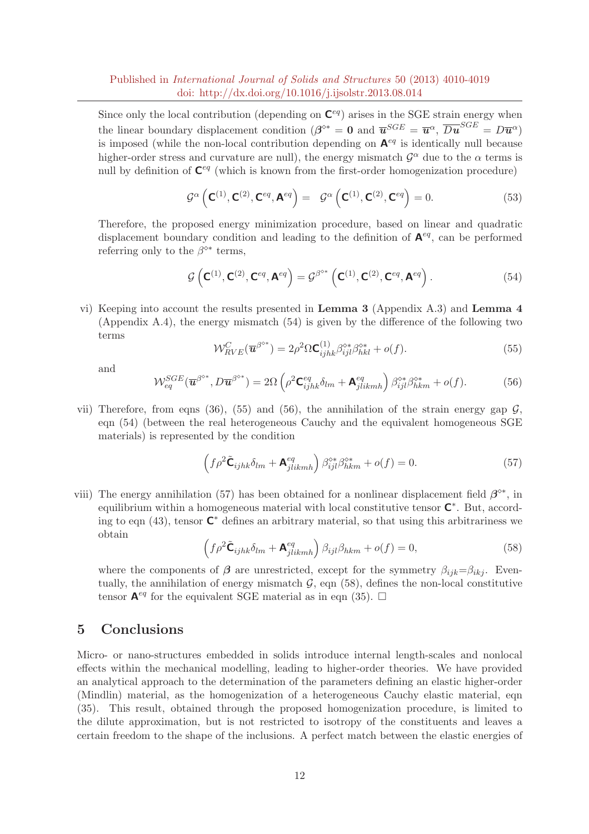Since only the local contribution (depending on  $\mathbf{C}^{eq}$ ) arises in the SGE strain energy when the linear boundary displacement condition  $(\beta^{\diamond*} = 0$  and  $\overline{u}^{SGE} = \overline{u}^{\alpha}, \overline{Du}^{SGE} = D\overline{u}^{\alpha})$ is imposed (while the non-local contribution depending on  $A^{eq}$  is identically null because higher-order stress and curvature are null), the energy mismatch  $\mathcal{G}^{\alpha}$  due to the  $\alpha$  terms is null by definition of  $\mathbf{C}^{eq}$  (which is known from the first-order homogenization procedure)

$$
\mathcal{G}^{\alpha}\left(\mathbf{C}^{(1)},\mathbf{C}^{(2)},\mathbf{C}^{eq},\mathbf{A}^{eq}\right) = \mathcal{G}^{\alpha}\left(\mathbf{C}^{(1)},\mathbf{C}^{(2)},\mathbf{C}^{eq}\right) = 0.
$$
 (53)

Therefore, the proposed energy minimization procedure, based on linear and quadratic displacement boundary condition and leading to the definition of  $A^{eq}$ , can be performed referring only to the  $\beta^{\diamond*}$  terms,

$$
\mathcal{G}\left(\mathbf{C}^{(1)},\mathbf{C}^{(2)},\mathbf{C}^{eq},\mathbf{A}^{eq}\right) = \mathcal{G}^{\beta^{o*}}\left(\mathbf{C}^{(1)},\mathbf{C}^{(2)},\mathbf{C}^{eq},\mathbf{A}^{eq}\right).
$$
\n(54)

vi) Keeping into account the results presented in Lemma 3 (Appendix A.3) and Lemma 4 (Appendix A.4), the energy mismatch (54) is given by the difference of the following two terms

$$
\mathcal{W}_{RVE}^{C}(\overline{\mathbf{u}}^{\beta^{o*}}) = 2\rho^2 \Omega \mathbf{C}_{ijhk}^{(1)} \beta_{ijl}^{\circ*} \beta_{hkl}^{\circ*} + o(f). \tag{55}
$$

and

$$
\mathcal{W}_{eq}^{SGE}(\overline{\mathbf{u}}^{\beta^{o*}}, D\overline{\mathbf{u}}^{\beta^{o*}}) = 2\Omega \left( \rho^2 \mathbf{C}_{ijhk}^{eq} \delta_{lm} + \mathbf{A}_{jlikmh}^{eq} \right) \beta_{ijl}^{o*} \beta_{hkm}^{o*} + o(f). \tag{56}
$$

vii) Therefore, from eqns (36), (55) and (56), the annihilation of the strain energy gap  $\mathcal{G}$ , eqn (54) (between the real heterogeneous Cauchy and the equivalent homogeneous SGE materials) is represented by the condition

$$
\left(f\rho^2\tilde{\mathbf{C}}_{ijhk}\delta_{lm}+\mathbf{A}^{eq}_{jlikmh}\right)\beta^{\diamond*}_{ijl}\beta^{\diamond*}_{hkm}+o(f)=0.
$$
\n(57)

viii) The energy annihilation (57) has been obtained for a nonlinear displacement field  $\beta^{\diamond*}$ , in equilibrium within a homogeneous material with local constitutive tensor  $\mathsf{C}^*$ . But, according to eqn (43), tensor  $\mathbb{C}^*$  defines an arbitrary material, so that using this arbitrariness we obtain

$$
\left(f\rho^2\tilde{\mathbf{C}}_{ijhk}\delta_{lm}+\mathbf{A}_{jlikmh}^{eq}\right)\beta_{ijl}\beta_{hkm}+o(f)=0,
$$
\n(58)

where the components of  $\beta$  are unrestricted, except for the symmetry  $\beta_{ijk}=\beta_{ikj}$ . Eventually, the annihilation of energy mismatch  $\mathcal{G}$ , eqn (58), defines the non-local constitutive tensor  $\mathbf{A}^{eq}$  for the equivalent SGE material as in eqn (35).  $\Box$ 

## 5 Conclusions

Micro- or nano-structures embedded in solids introduce internal length-scales and nonlocal effects within the mechanical modelling, leading to higher-order theories. We have provided an analytical approach to the determination of the parameters defining an elastic higher-order (Mindlin) material, as the homogenization of a heterogeneous Cauchy elastic material, eqn (35). This result, obtained through the proposed homogenization procedure, is limited to the dilute approximation, but is not restricted to isotropy of the constituents and leaves a certain freedom to the shape of the inclusions. A perfect match between the elastic energies of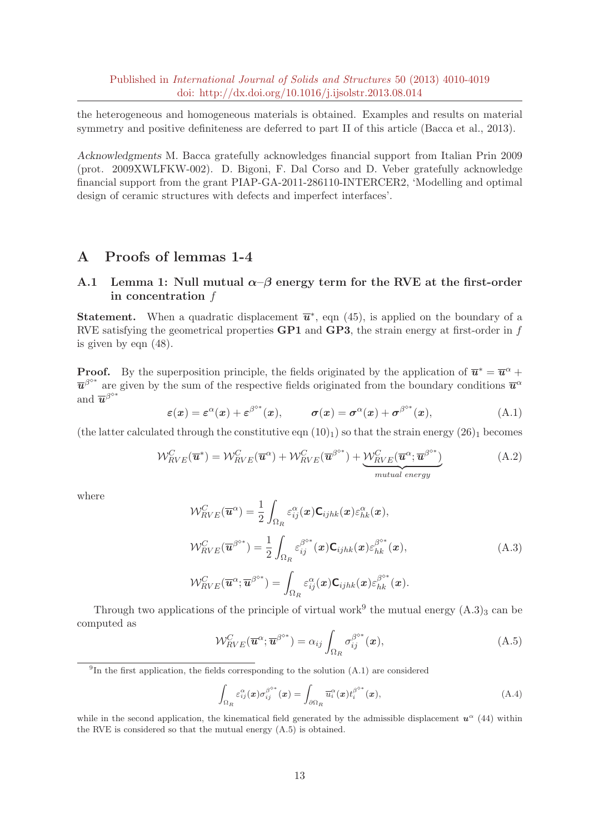the heterogeneous and homogeneous materials is obtained. Examples and results on material symmetry and positive definiteness are deferred to part II of this article (Bacca et al., 2013).

Acknowledgments M. Bacca gratefully acknowledges financial support from Italian Prin 2009 (prot. 2009XWLFKW-002). D. Bigoni, F. Dal Corso and D. Veber gratefully acknowledge financial support from the grant PIAP-GA-2011-286110-INTERCER2, 'Modelling and optimal design of ceramic structures with defects and imperfect interfaces'.

## A Proofs of lemmas 1-4

### A.1 Lemma 1: Null mutual  $\alpha-\beta$  energy term for the RVE at the first-order in concentration f

**Statement.** When a quadratic displacement  $\overline{\mathbf{u}}^*$ , eqn (45), is applied on the boundary of a RVE satisfying the geometrical properties  $\bf{GPI}$  and  $\bf{GPI}$ , the strain energy at first-order in f is given by eqn (48).

**Proof.** By the superposition principle, the fields originated by the application of  $\overline{u}^* = \overline{u}^{\alpha} +$  $\overline{u}^{\beta^{o*}}$  are given by the sum of the respective fields originated from the boundary conditions  $\overline{u}^{\alpha}$ and  $\overline{\boldsymbol{u}}^{\beta^{\diamond*}}$ 

$$
\varepsilon(x) = \varepsilon^{\alpha}(x) + \varepsilon^{\beta^{\circ*}}(x), \qquad \sigma(x) = \sigma^{\alpha}(x) + \sigma^{\beta^{\circ*}}(x), \tag{A.1}
$$

(the latter calculated through the constitutive eqn  $(10)<sub>1</sub>$ ) so that the strain energy  $(26)<sub>1</sub>$  becomes

$$
\mathcal{W}_{RVE}^{C}(\overline{\mathbf{u}}^{*}) = \mathcal{W}_{RVE}^{C}(\overline{\mathbf{u}}^{\alpha}) + \mathcal{W}_{RVE}^{C}(\overline{\mathbf{u}}^{\beta^{o*}}) + \underbrace{\mathcal{W}_{RVE}^{C}(\overline{\mathbf{u}}^{\alpha}; \overline{\mathbf{u}}^{\beta^{o*}})}_{mutual\ energy}
$$
(A.2)

where

$$
\mathcal{W}_{RVE}^{C}(\overline{\mathbf{u}}^{\alpha}) = \frac{1}{2} \int_{\Omega_{R}} \varepsilon_{ij}^{\alpha}(\mathbf{x}) \mathbf{C}_{ijhk}(\mathbf{x}) \varepsilon_{hk}^{\alpha}(\mathbf{x}),
$$
  
\n
$$
\mathcal{W}_{RVE}^{C}(\overline{\mathbf{u}}^{\beta^{o*}}) = \frac{1}{2} \int_{\Omega_{R}} \varepsilon_{ij}^{\beta^{o*}}(\mathbf{x}) \mathbf{C}_{ijhk}(\mathbf{x}) \varepsilon_{hk}^{\beta^{o*}}(\mathbf{x}),
$$
  
\n
$$
\mathcal{W}_{RVE}^{C}(\overline{\mathbf{u}}^{\alpha}; \overline{\mathbf{u}}^{\beta^{o*}}) = \int_{\Omega_{R}} \varepsilon_{ij}^{\alpha}(\mathbf{x}) \mathbf{C}_{ijhk}(\mathbf{x}) \varepsilon_{hk}^{\beta^{o*}}(\mathbf{x}).
$$
\n(A.3)

Through two applications of the principle of virtual work<sup>9</sup> the mutual energy  $(A.3)_3$  can be computed as

$$
\mathcal{W}_{RVE}^{C}(\overline{\mathbf{u}}^{\alpha};\overline{\mathbf{u}}^{\beta^{o*}}) = \alpha_{ij} \int_{\Omega_{R}} \sigma_{ij}^{\beta^{o*}}(\mathbf{x}), \qquad (A.5)
$$

<sup>9</sup>In the first application, the fields corresponding to the solution  $(A.1)$  are considered

$$
\int_{\Omega_R} \varepsilon_{ij}^{\alpha}(\boldsymbol{x}) \sigma_{ij}^{\beta^{\diamond*}}(\boldsymbol{x}) = \int_{\partial \Omega_R} \overline{u}_i^{\alpha}(\boldsymbol{x}) t_i^{\beta^{\diamond*}}(\boldsymbol{x}), \tag{A.4}
$$

while in the second application, the kinematical field generated by the admissible displacement  $u^{\alpha}$  (44) within the RVE is considered so that the mutual energy (A.5) is obtained.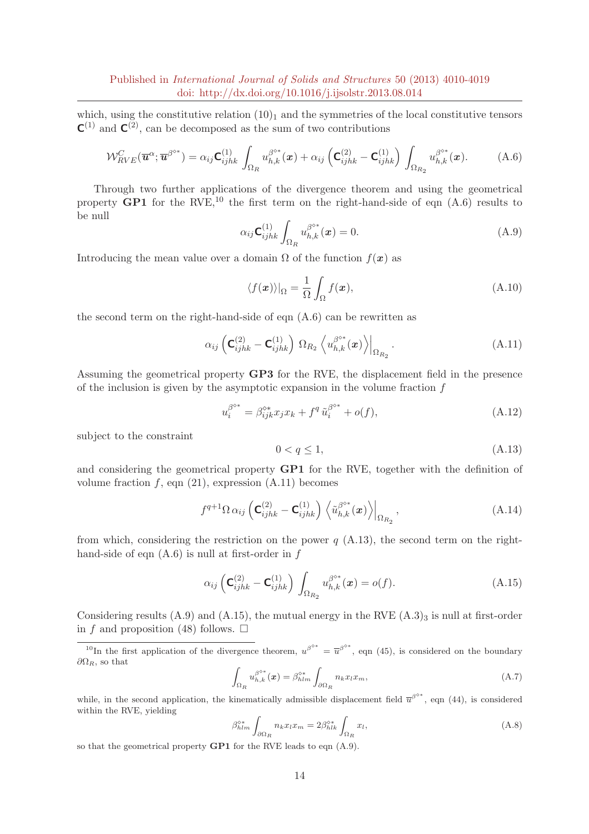which, using the constitutive relation  $(10)<sub>1</sub>$  and the symmetries of the local constitutive tensors  $C^{(1)}$  and  $C^{(2)}$ , can be decomposed as the sum of two contributions

$$
\mathcal{W}_{RVE}^{C}(\overline{\mathbf{u}}^{\alpha};\overline{\mathbf{u}}^{\beta^{o*}}) = \alpha_{ij} \mathbf{C}_{ijhk}^{(1)} \int_{\Omega_R} u_{h,k}^{\beta^{o*}}(\mathbf{x}) + \alpha_{ij} \left( \mathbf{C}_{ijhk}^{(2)} - \mathbf{C}_{ijhk}^{(1)} \right) \int_{\Omega_{R_2}} u_{h,k}^{\beta^{o*}}(\mathbf{x}). \tag{A.6}
$$

Through two further applications of the divergence theorem and using the geometrical property  $\text{GPI}$  for the RVE,<sup>10</sup> the first term on the right-hand-side of eqn  $(A.6)$  results to be null

$$
\alpha_{ij} \mathbf{C}_{ijkk}^{(1)} \int_{\Omega_R} u_{h,k}^{\beta^{**}}(\boldsymbol{x}) = 0.
$$
\n(A.9)

Introducing the mean value over a domain  $\Omega$  of the function  $f(x)$  as

$$
\langle f(\boldsymbol{x}) \rangle|_{\Omega} = \frac{1}{\Omega} \int_{\Omega} f(\boldsymbol{x}), \tag{A.10}
$$

the second term on the right-hand-side of eqn (A.6) can be rewritten as

$$
\alpha_{ij} \left( \mathbf{C}_{ijhk}^{(2)} - \mathbf{C}_{ijhk}^{(1)} \right) \Omega_{R_2} \left\langle u_{h,k}^{\beta^{o*}}(\boldsymbol{x}) \right\rangle \Big|_{\Omega_{R_2}}.
$$
\n(A.11)

Assuming the geometrical property GP3 for the RVE, the displacement field in the presence of the inclusion is given by the asymptotic expansion in the volume fraction  $f$ 

$$
u_i^{\beta^{\diamond*}} = \beta_{ijk}^{\diamond*} x_j x_k + f^q \tilde{u}_i^{\beta^{\diamond*}} + o(f), \tag{A.12}
$$

subject to the constraint

$$
0 < q \le 1,\tag{A.13}
$$

and considering the geometrical property GP1 for the RVE, together with the definition of volume fraction  $f$ , eqn  $(21)$ , expression  $(A.11)$  becomes

$$
f^{q+1}\Omega \alpha_{ij} \left( \mathbf{C}_{ijhk}^{(2)} - \mathbf{C}_{ijhk}^{(1)} \right) \left\langle \tilde{u}_{h,k}^{\beta^{o*}}(x) \right\rangle\Big|_{\Omega_{R_2}},
$$
\n(A.14)

from which, considering the restriction on the power  $q$  (A.13), the second term on the righthand-side of eqn  $(A.6)$  is null at first-order in  $f$ 

$$
\alpha_{ij} \left( \mathbf{C}_{ijhk}^{(2)} - \mathbf{C}_{ijhk}^{(1)} \right) \int_{\Omega_{R_2}} u_{h,k}^{\beta^{\diamond *}}(\boldsymbol{x}) = o(f). \tag{A.15}
$$

Considering results  $(A.9)$  and  $(A.15)$ , the mutual energy in the RVE  $(A.3)_3$  is null at first-order in f and proposition (48) follows.  $\square$ 

<sup>10</sup>In the first application of the divergence theorem,  $u^{\beta^{*}} = \overline{u}^{\beta^{*}}$ , eqn (45), is considered on the boundary  $\partial\Omega_R$ , so that

$$
\int_{\Omega_R} u_{h,k}^{\beta^{**}}(\boldsymbol{x}) = \beta_{hlm}^{\beta^{**}} \int_{\partial\Omega_R} n_k x_l x_m,
$$
\n(A.7)

while, in the second application, the kinematically admissible displacement field  $\overline{u}^{\beta^o*}$ , eqn (44), is considered within the RVE, yielding

$$
\beta_{hlm}^{\diamond*} \int_{\partial \Omega_R} n_k x_l x_m = 2 \beta_{hlk}^{\diamond*} \int_{\Omega_R} x_l,
$$
\n(A.8)

so that the geometrical property GP1 for the RVE leads to eqn (A.9).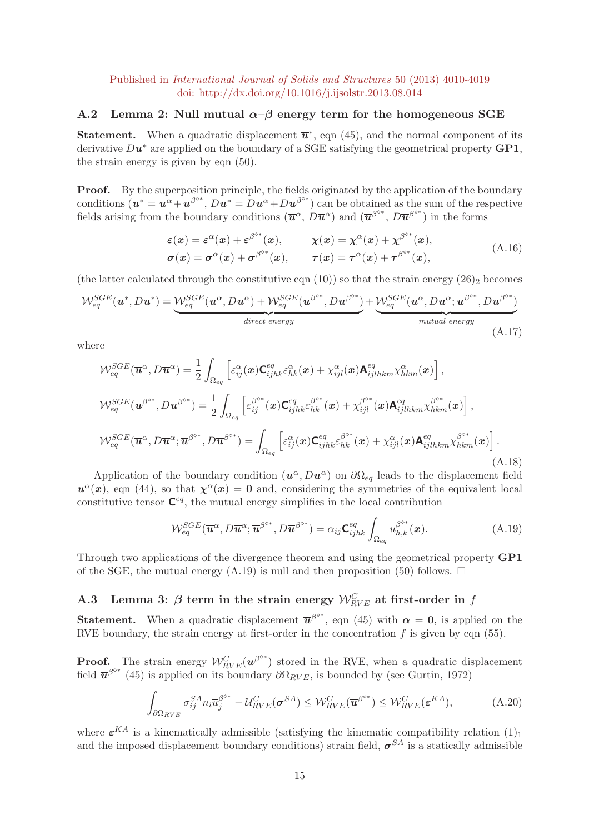### A.2 Lemma 2: Null mutual  $\alpha-\beta$  energy term for the homogeneous SGE

**Statement.** When a quadratic displacement  $\overline{u}^*$ , eqn (45), and the normal component of its derivative  $D\overline{\mathbf{u}}^*$  are applied on the boundary of a SGE satisfying the geometrical property  $\mathbf{GPI}$ , the strain energy is given by eqn (50).

**Proof.** By the superposition principle, the fields originated by the application of the boundary conditions  $(\overline{\mathbf{u}}^* = \overline{\mathbf{u}}^{\alpha} + \overline{\mathbf{u}}^{\beta^{o*}}, D\overline{\mathbf{u}}^* = D\overline{\mathbf{u}}^{\alpha} + D\overline{\mathbf{u}}^{\beta^{o*}})$  can be obtained as the sum of the respective fields arising from the boundary conditions  $(\overline{u}^{\alpha}, \overline{D}\overline{u}^{\alpha})$  and  $(\overline{u}^{\beta^{o*}}, \overline{D}\overline{u}^{\beta^{o*}})$  in the forms

$$
\varepsilon(x) = \varepsilon^{\alpha}(x) + \varepsilon^{\beta^{0*}}(x), \qquad \chi(x) = \chi^{\alpha}(x) + \chi^{\beta^{0*}}(x),
$$
  
\n
$$
\sigma(x) = \sigma^{\alpha}(x) + \sigma^{\beta^{0*}}(x), \qquad \tau(x) = \tau^{\alpha}(x) + \tau^{\beta^{0*}}(x),
$$
\n(A.16)

(the latter calculated through the constitutive eqn (10)) so that the strain energy  $(26)_2$  becomes

$$
\mathcal{W}_{eq}^{SGE}(\overline{\mathbf{u}}^*, D\overline{\mathbf{u}}^*) = \underbrace{\mathcal{W}_{eq}^{SGE}(\overline{\mathbf{u}}^{\alpha}, D\overline{\mathbf{u}}^{\alpha}) + \mathcal{W}_{eq}^{SGE}(\overline{\mathbf{u}}^{\beta^{o*}}, D\overline{\mathbf{u}}^{\beta^{o*}})}_{direct\ energy} + \underbrace{\mathcal{W}_{eq}^{SGE}(\overline{\mathbf{u}}^{\alpha}, D\overline{\mathbf{u}}^{\alpha}; \overline{\mathbf{u}}^{\beta^{o*}}, D\overline{\mathbf{u}}^{\beta^{o*}})}_{mutual\ energy}
$$
\n(A.17)

where

$$
\mathcal{W}_{eq}^{SGE}(\overline{\mathbf{u}}^{\alpha},D\overline{\mathbf{u}}^{\alpha}) = \frac{1}{2} \int_{\Omega_{eq}} \left[ \varepsilon_{ij}^{\alpha}(\mathbf{x}) \mathbf{C}_{ijhk}^{eq} \varepsilon_{hk}^{\alpha}(\mathbf{x}) + \chi_{ijl}^{\alpha}(\mathbf{x}) \mathbf{A}_{ijlkkm}^{eq} \chi_{hkm}^{\alpha}(\mathbf{x}) \right],
$$
  
\n
$$
\mathcal{W}_{eq}^{SGE}(\overline{\mathbf{u}}^{\beta^{o*}}, D\overline{\mathbf{u}}^{\beta^{o*}}) = \frac{1}{2} \int_{\Omega_{eq}} \left[ \varepsilon_{ij}^{\beta^{o*}}(\mathbf{x}) \mathbf{C}_{ijhk}^{eq} \varepsilon_{hk}^{\beta^{o*}}(\mathbf{x}) + \chi_{ijl}^{\beta^{o*}}(\mathbf{x}) \mathbf{A}_{ijlkkm}^{eq} \chi_{hkm}^{\beta^{o*}}(\mathbf{x}) \right],
$$
  
\n
$$
\mathcal{W}_{eq}^{SGE}(\overline{\mathbf{u}}^{\alpha}, D\overline{\mathbf{u}}^{\alpha}; \overline{\mathbf{u}}^{\beta^{o*}}, D\overline{\mathbf{u}}^{\beta^{o*}}) = \int_{\Omega_{eq}} \left[ \varepsilon_{ij}^{\alpha}(\mathbf{x}) \mathbf{C}_{ijhk}^{eq} \varepsilon_{hk}^{\beta^{o*}}(\mathbf{x}) + \chi_{ijl}^{\alpha}(\mathbf{x}) \mathbf{A}_{ijlkkm}^{eq} \chi_{hkm}^{\beta^{o*}}(\mathbf{x}) \right].
$$
\n(A.18)

Application of the boundary condition  $(\overline{u}^{\alpha}, D\overline{u}^{\alpha})$  on  $\partial\Omega_{eq}$  leads to the displacement field  $u^{\alpha}(x)$ , eqn (44), so that  $\chi^{\alpha}(x) = 0$  and, considering the symmetries of the equivalent local constitutive tensor  $\mathbf{C}^{eq}$ , the mutual energy simplifies in the local contribution

$$
\mathcal{W}_{eq}^{SGE}(\overline{\mathbf{u}}^{\alpha}, D\overline{\mathbf{u}}^{\alpha}; \overline{\mathbf{u}}^{\beta^{o*}}, D\overline{\mathbf{u}}^{\beta^{o*}}) = \alpha_{ij} \mathbf{C}_{ijhk}^{eq} \int_{\Omega_{eq}} u_{h,k}^{\beta^{o*}}(\mathbf{x}). \tag{A.19}
$$

Through two applications of the divergence theorem and using the geometrical property GP1 of the SGE, the mutual energy (A.19) is null and then proposition (50) follows.  $\Box$ 

## A.3 Lemma 3:  $\beta$  term in the strain energy  $\mathcal{W}_{RVE}^{C}$  at first-order in  $f$

**Statement.** When a quadratic displacement  $\overline{\mathbf{u}}^{\beta^{o*}}$ , eqn (45) with  $\alpha = 0$ , is applied on the RVE boundary, the strain energy at first-order in the concentration  $f$  is given by eqn (55).

**Proof.** The strain energy  $W_{RVE}^{C}(\overline{\boldsymbol{u}}^{\beta^{o*}})$  stored in the RVE, when a quadratic displacement field  $\overline{\mathbf{u}}^{\beta^{o*}}$  (45) is applied on its boundary  $\partial \Omega_{RVE}$ , is bounded by (see Gurtin, 1972)

$$
\int_{\partial\Omega_{RVE}} \sigma_{ij}^{SA} n_i \overline{u}_j^{\beta^{o*}} - \mathcal{U}_{RVE}^C(\boldsymbol{\sigma}^{SA}) \leq \mathcal{W}_{RVE}^C(\overline{\boldsymbol{u}}^{\beta^{o*}}) \leq \mathcal{W}_{RVE}^C(\boldsymbol{\varepsilon}^{KA}),
$$
\n(A.20)

where  $\varepsilon^{KA}$  is a kinematically admissible (satisfying the kinematic compatibility relation  $(1)_1$ and the imposed displacement boundary conditions) strain field,  $\sigma^{SA}$  is a statically admissible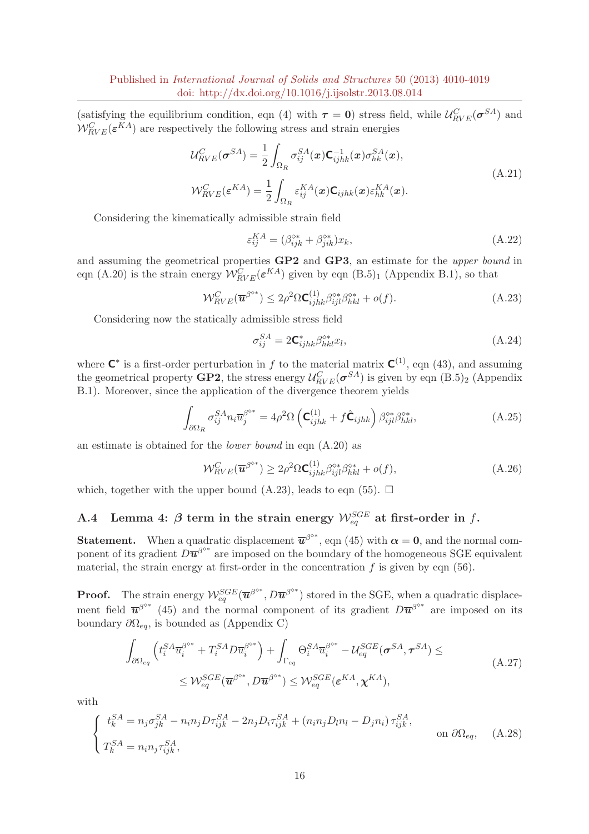(satisfying the equilibrium condition, eqn (4) with  $\tau = 0$ ) stress field, while  $\mathcal{U}_{RVE}^{C}(\sigma^{SA})$  and  $\mathcal{W}_{RVE}^{C}(\varepsilon^{KA})$  are respectively the following stress and strain energies

$$
\mathcal{U}_{RVE}^{C}(\boldsymbol{\sigma}^{SA}) = \frac{1}{2} \int_{\Omega_{R}} \sigma_{ij}^{SA}(\boldsymbol{x}) \mathbf{C}_{ijhk}^{-1}(\boldsymbol{x}) \sigma_{hk}^{SA}(\boldsymbol{x}),
$$
\n
$$
\mathcal{W}_{RVE}^{C}(\boldsymbol{\varepsilon}^{KA}) = \frac{1}{2} \int_{\Omega_{R}} \varepsilon_{ij}^{KA}(\boldsymbol{x}) \mathbf{C}_{ijhk}(\boldsymbol{x}) \varepsilon_{hk}^{KA}(\boldsymbol{x}).
$$
\n(A.21)

Considering the kinematically admissible strain field

$$
\varepsilon_{ij}^{KA} = (\beta_{ijk}^{\diamond*} + \beta_{jik}^{\diamond*})x_k,
$$
\n(A.22)

and assuming the geometrical properties GP2 and GP3, an estimate for the upper bound in eqn (A.20) is the strain energy  $W_{RVE}^{C}(\varepsilon^{KA})$  given by eqn (B.5)<sub>1</sub> (Appendix B.1), so that

$$
\mathcal{W}_{RVE}^{C}(\overline{\mathbf{u}}^{\beta^{o*}}) \le 2\rho^2 \Omega \mathbf{C}_{ijhk}^{(1)} \beta_{ijl}^{o*} \beta_{hkl}^{o*} + o(f). \tag{A.23}
$$

Considering now the statically admissible stress field

$$
\sigma_{ij}^{SA} = 2\mathbf{C}_{ijhk}^* \beta_{hkl}^{\diamond*} x_l,
$$
\n(A.24)

where  $\mathsf{C}^*$  is a first-order perturbation in f to the material matrix  $\mathsf{C}^{(1)}$ , eqn (43), and assuming the geometrical property **GP2**, the stress energy  $\mathcal{U}_{RVE}^{C}(\sigma^{SA})$  is given by eqn  $(B.5)_2$  (Appendix B.1). Moreover, since the application of the divergence theorem yields

$$
\int_{\partial\Omega_R} \sigma_{ij}^{SA} n_i \overline{u}_j^{\beta^{o*}} = 4\rho^2 \Omega \left( \mathbf{C}_{ijhk}^{(1)} + f \hat{\mathbf{C}}_{ijhk} \right) \beta_{ijl}^{o*} \beta_{hkl}^{o*}, \tag{A.25}
$$

an estimate is obtained for the lower bound in eqn (A.20) as

$$
\mathcal{W}_{RVE}^{C}(\overline{\mathbf{u}}^{\beta^{o*}}) \ge 2\rho^2 \Omega \mathbf{C}_{ijhk}^{(1)} \beta_{ijl}^{\circ*} \beta_{hkl}^{\circ*} + o(f), \tag{A.26}
$$

which, together with the upper bound (A.23), leads to eqn (55).  $\Box$ 

## A.4 Lemma 4:  $\beta$  term in the strain energy  $\mathcal{W}_{eq}^{SGE}$  at first-order in f.

**Statement.** When a quadratic displacement  $\overline{\boldsymbol{u}}^{\beta^{\circ*}}$ , eqn (45) with  $\alpha = 0$ , and the normal component of its gradient  $D\overline{u}^{\beta^{o*}}$  are imposed on the boundary of the homogeneous SGE equivalent material, the strain energy at first-order in the concentration  $f$  is given by eqn (56).

**Proof.** The strain energy  $W_{eq}^{SGE}(\overline{\mathbf{u}}^{\beta^{o*}}, D\overline{\mathbf{u}}^{\beta^{o*}})$  stored in the SGE, when a quadratic displacement field  $\overline{\mathbf{u}}^{\beta^{o*}}$  (45) and the normal component of its gradient  $D\overline{\mathbf{u}}^{\beta^{o*}}$  are imposed on its boundary  $\partial\Omega_{eq}$ , is bounded as (Appendix C)

$$
\int_{\partial\Omega_{eq}} \left( t_i^{SA} \overline{u}_i^{\beta^{o*}} + T_i^{SA} D \overline{u}_i^{\beta^{o*}} \right) + \int_{\Gamma_{eq}} \Theta_i^{SA} \overline{u}_i^{\beta^{o*}} - \mathcal{U}_{eq}^{SGE} (\sigma^{SA}, \tau^{SA}) \le
$$
\n
$$
\leq \mathcal{W}_{eq}^{SGE} (\overline{\mathbf{u}}^{\beta^{o*}}, D \overline{\mathbf{u}}^{\beta^{o*}}) \leq \mathcal{W}_{eq}^{SGE} (\varepsilon^{KA}, \mathbf{\chi}^{KA}),
$$
\n(A.27)

with

$$
\begin{cases}\nt_k^{SA} = n_j \sigma_{jk}^{SA} - n_i n_j D \tau_{ijk}^{SA} - 2n_j D_i \tau_{ijk}^{SA} + (n_i n_j D_l n_l - D_j n_i) \tau_{ijk}^{SA}, \\
T_k^{SA} = n_i n_j \tau_{ijk}^{SA},\n\end{cases}\n\text{on } \partial \Omega_{eq},\n\tag{A.28}
$$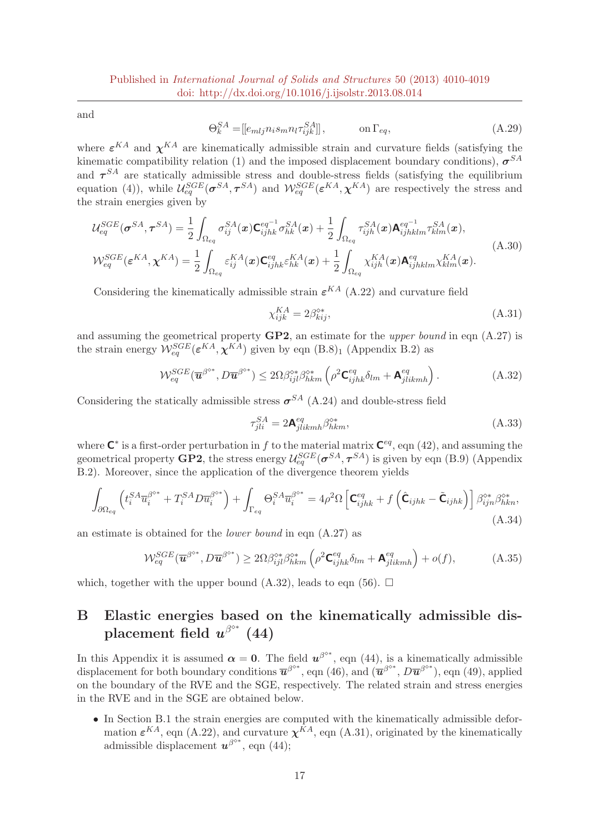and

$$
\Theta_k^{SA} = [[e_{mlj}n_i s_m n_l \tau_{ijk}^{SA}]], \qquad \text{on } \Gamma_{eq}, \qquad (A.29)
$$

where  $\varepsilon^{KA}$  and  $\chi^{KA}$  are kinematically admissible strain and curvature fields (satisfying the kinematic compatibility relation (1) and the imposed displacement boundary conditions),  $\sigma^{SA}$ and  $\tau^{SA}$  are statically admissible stress and double-stress fields (satisfying the equilibrium equation (4)), while  $\mathcal{U}_{eq}^{SGE}(\sigma^{SA}, \tau^{SA})$  and  $\mathcal{W}_{eq}^{SGE}(\varepsilon^{KA}, \chi^{KA})$  are respectively the stress and the strain energies given by

$$
\mathcal{U}_{eq}^{SGE}(\boldsymbol{\sigma}^{SA}, \boldsymbol{\tau}^{SA}) = \frac{1}{2} \int_{\Omega_{eq}} \sigma_{ij}^{SA}(\boldsymbol{x}) \mathbf{C}_{ijhk}^{eq^{-1}} \sigma_{hk}^{SA}(\boldsymbol{x}) + \frac{1}{2} \int_{\Omega_{eq}} \tau_{ijh}^{SA}(\boldsymbol{x}) \mathbf{A}_{ijhklm}^{eq^{-1}} \tau_{klm}^{SA}(\boldsymbol{x}),
$$
\n
$$
\mathcal{W}_{eq}^{SGE}(\boldsymbol{\varepsilon}^{KA}, \boldsymbol{\chi}^{KA}) = \frac{1}{2} \int_{\Omega_{eq}} \varepsilon_{ij}^{KA}(\boldsymbol{x}) \mathbf{C}_{ijhk}^{eq} \varepsilon_{hk}^{KA}(\boldsymbol{x}) + \frac{1}{2} \int_{\Omega_{eq}} \chi_{ijh}^{KA}(\boldsymbol{x}) \mathbf{A}_{ijhklm}^{eq} \chi_{klm}^{KA}(\boldsymbol{x}).
$$
\n(A.30)

Considering the kinematically admissible strain  $\varepsilon^{KA}$  (A.22) and curvature field

$$
\chi_{ijk}^{KA} = 2\beta_{kij}^{\diamond*},\tag{A.31}
$$

and assuming the geometrical property  $\mathbf{G}P2$ , an estimate for the upper bound in eqn  $(A.27)$  is the strain energy  $W_{eq}^{SGE}(\varepsilon^{KA}, \chi^{KA})$  given by eqn  $(B.8)_1$  (Appendix B.2) as

$$
\mathcal{W}_{eq}^{SGE}(\overline{\mathbf{u}}^{\beta^{o*}}, D\overline{\mathbf{u}}^{\beta^{o*}}) \le 2\Omega \beta_{ijl}^{\circ*} \beta_{hkm}^{\circ*} \left(\rho^2 \mathbf{C}_{ijhk}^{eq} \delta_{lm} + \mathbf{A}_{jlikmh}^{eq}\right). \tag{A.32}
$$

Considering the statically admissible stress  $\sigma^{SA}$  (A.24) and double-stress field

$$
\tau_{jli}^{SA} = 2\mathbf{A}_{jlikmh}^{eq} \beta_{hkm}^{\diamond*},\tag{A.33}
$$

where  $\mathsf{C}^*$  is a first-order perturbation in f to the material matrix  $\mathsf{C}^{eq}$ , eqn (42), and assuming the geometrical property **GP2**, the stress energy  $\mathcal{U}_{eq}^{SGE}(\sigma^{SA}, \tau^{SA})$  is given by eqn (B.9) (Appendix B.2). Moreover, since the application of the divergence theorem yields

$$
\int_{\partial\Omega_{eq}} \left( t_i^{SA} \overline{u}_i^{\beta^{o*}} + T_i^{SA} D \overline{u}_i^{\beta^{o*}} \right) + \int_{\Gamma_{eq}} \Theta_i^{SA} \overline{u}_i^{\beta^{o*}} = 4\rho^2 \Omega \left[ \mathbf{C}_{ijhk}^{eq} + f \left( \hat{\mathbf{C}}_{ijhk} - \tilde{\mathbf{C}}_{ijhk} \right) \right] \beta_{ijn}^{\circ*} \beta_{hkn}^{\circ*},
$$
\n(A.34)

an estimate is obtained for the lower bound in eqn (A.27) as

$$
\mathcal{W}_{eq}^{SGE}(\overline{\mathbf{u}}^{\beta^{o*}}, D\overline{\mathbf{u}}^{\beta^{o*}}) \ge 2\Omega \beta_{ijl}^{o*} \beta_{hkm}^{o*} \left( \rho^2 \mathbf{C}_{ijhk}^{eq} \delta_{lm} + \mathbf{A}_{jlikmh}^{eq} \right) + o(f), \tag{A.35}
$$

which, together with the upper bound (A.32), leads to eqn (56).  $\Box$ 

## B Elastic energies based on the kinematically admissible displacement field  $u^{\beta^{o*}}$  (44)

In this Appendix it is assumed  $\alpha = 0$ . The field  $u^{\beta^{o*}}$ , eqn (44), is a kinematically admissible displacement for both boundary conditions  $\overline{\mathbf{u}}^{\beta^{\diamond *}},$  eqn (46), and  $(\overline{\mathbf{u}}^{\beta^{\diamond *}}, D\overline{\mathbf{u}}^{\beta^{\diamond *}})$ , eqn (49), applied on the boundary of the RVE and the SGE, respectively. The related strain and stress energies in the RVE and in the SGE are obtained below.

• In Section B.1 the strain energies are computed with the kinematically admissible deformation  $\varepsilon^{KA}$ , eqn (A.22), and curvature  $\chi^{KA}$ , eqn (A.31), originated by the kinematically admissible displacement  $u^{\beta^{o*}}$ , eqn (44);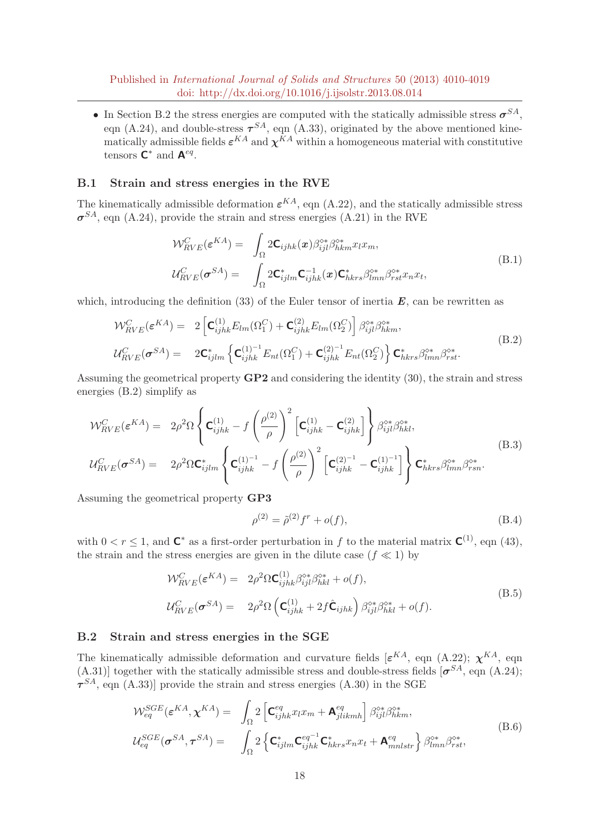• In Section B.2 the stress energies are computed with the statically admissible stress  $\sigma^{SA}$ , eqn (A.24), and double-stress  $\tau^{SA}$ , eqn (A.33), originated by the above mentioned kinematically admissible fields  $\varepsilon^{KA}$  and  $\chi^{KA}$  within a homogeneous material with constitutive tensors  $\mathbf{C}^*$  and  $\mathbf{A}^{eq}$ .

#### B.1 Strain and stress energies in the RVE

The kinematically admissible deformation  $\varepsilon^{KA}$ , eqn (A.22), and the statically admissible stress  $\sigma^{SA}$ , eqn (A.24), provide the strain and stress energies (A.21) in the RVE

$$
\mathcal{W}_{RVE}^{C}(\varepsilon^{KA}) = \int_{\Omega} 2\mathbf{C}_{ijhk}(\boldsymbol{x}) \beta_{ijl}^{\diamond*} \beta_{hkm}^{\diamond*} x_{l} x_{m},
$$
\n
$$
\mathcal{U}_{RVE}^{C}(\boldsymbol{\sigma}^{SA}) = \int_{\Omega} 2\mathbf{C}_{ijlm}^{*} \mathbf{C}_{ijhk}^{-1}(\boldsymbol{x}) \mathbf{C}_{hkrs}^{*} \beta_{lmn}^{\diamond*} \beta_{rst}^{\diamond*} x_{n} x_{t},
$$
\n(B.1)

which, introducing the definition  $(33)$  of the Euler tensor of inertia  $\mathbf{E}$ , can be rewritten as

$$
\mathcal{W}_{RVE}^{C}(\boldsymbol{\varepsilon}^{KA}) = 2 \left[ \mathbf{C}_{ijhk}^{(1)} E_{lm}(\Omega_{1}^{C}) + \mathbf{C}_{ijhk}^{(2)} E_{lm}(\Omega_{2}^{C}) \right] \beta_{ijl}^{\diamond*} \beta_{hk}^{\diamond*},
$$
\n
$$
\mathcal{U}_{RVE}^{C}(\boldsymbol{\sigma}^{SA}) = 2 \mathbf{C}_{ijlm}^* \left\{ \mathbf{C}_{ijhk}^{(1)-1} E_{nt}(\Omega_{1}^{C}) + \mathbf{C}_{ijhk}^{(2)-1} E_{nt}(\Omega_{2}^{C}) \right\} \mathbf{C}_{hkrs}^* \beta_{lmn}^{\diamond*} \beta_{rst}^{\diamond*}. \tag{B.2}
$$

Assuming the geometrical property  $\mathbf{G}P2$  and considering the identity (30), the strain and stress energies (B.2) simplify as

$$
\mathcal{W}_{RVE}^{C}(\varepsilon^{KA}) = 2\rho^{2}\Omega \left\{ \mathbf{C}_{ijhk}^{(1)} - f\left(\frac{\rho^{(2)}}{\rho}\right)^{2} \left[\mathbf{C}_{ijhk}^{(1)} - \mathbf{C}_{ijhk}^{(2)}\right] \right\} \beta_{ijl}^{\diamond*} \beta_{hkl}^{\diamond*},
$$
\n
$$
\mathcal{U}_{RVE}^{C}(\boldsymbol{\sigma}^{SA}) = 2\rho^{2}\Omega \mathbf{C}_{ijlm}^{*} \left\{ \mathbf{C}_{ijhk}^{(1)-1} - f\left(\frac{\rho^{(2)}}{\rho}\right)^{2} \left[\mathbf{C}_{ijhk}^{(2)-1} - \mathbf{C}_{ijhk}^{(1)-1}\right] \right\} \mathbf{C}_{hkrs}^{*} \beta_{lmn}^{\diamond*} \beta_{rsn}^{\diamond*}.
$$
\n(B.3)

Assuming the geometrical property GP3

$$
\rho^{(2)} = \tilde{\rho}^{(2)} f^r + o(f), \tag{B.4}
$$

with  $0 < r \leq 1$ , and  $\mathbb{C}^*$  as a first-order perturbation in f to the material matrix  $\mathbb{C}^{(1)}$ , eqn (43), the strain and the stress energies are given in the dilute case ( $f \ll 1$ ) by

$$
\mathcal{W}_{RVE}^{C}(\boldsymbol{\varepsilon}^{KA}) = 2\rho^{2} \Omega \mathbf{C}_{ijhk}^{(1)} \beta_{ijl}^{\diamond*} \beta_{hkl}^{\diamond*} + o(f),
$$
\n
$$
\mathcal{U}_{RVE}^{C}(\boldsymbol{\sigma}^{SA}) = 2\rho^{2} \Omega \left(\mathbf{C}_{ijhk}^{(1)} + 2f\hat{\mathbf{C}}_{ijhk}\right) \beta_{ijl}^{\diamond*} \beta_{hkl}^{\diamond*} + o(f).
$$
\n(B.5)

#### B.2 Strain and stress energies in the SGE

The kinematically admissible deformation and curvature fields  $[\varepsilon^{KA}$ , eqn (A.22);  $\chi^{KA}$ , eqn  $(A.31)$ ] together with the statically admissible stress and double-stress fields  $[\sigma^{SA},$  eqn  $(A.24)$ ;  $\tau^{SA}$ , eqn (A.33)] provide the strain and stress energies (A.30) in the SGE

$$
\mathcal{W}_{eq}^{SGE}(\boldsymbol{\varepsilon}^{KA}, \boldsymbol{\chi}^{KA}) = \int_{\Omega} 2 \left[ \mathbf{C}_{ijhk}^{eq} x_l x_m + \mathbf{A}_{jlikmh}^{eq} \right] \beta_{ijl}^{s*} \beta_{hkm}^{s*},
$$
\n
$$
\mathcal{U}_{eq}^{SGE}(\boldsymbol{\sigma}^{SA}, \boldsymbol{\tau}^{SA}) = \int_{\Omega} 2 \left\{ \mathbf{C}_{ijlm}^{*} \mathbf{C}_{ijhk}^{eq^{-1}} \mathbf{C}_{hkrs}^{*} x_n x_t + \mathbf{A}_{mnlstr}^{eq} \right\} \beta_{lmn}^{s*} \beta_{rst}^{s*},
$$
\n(B.6)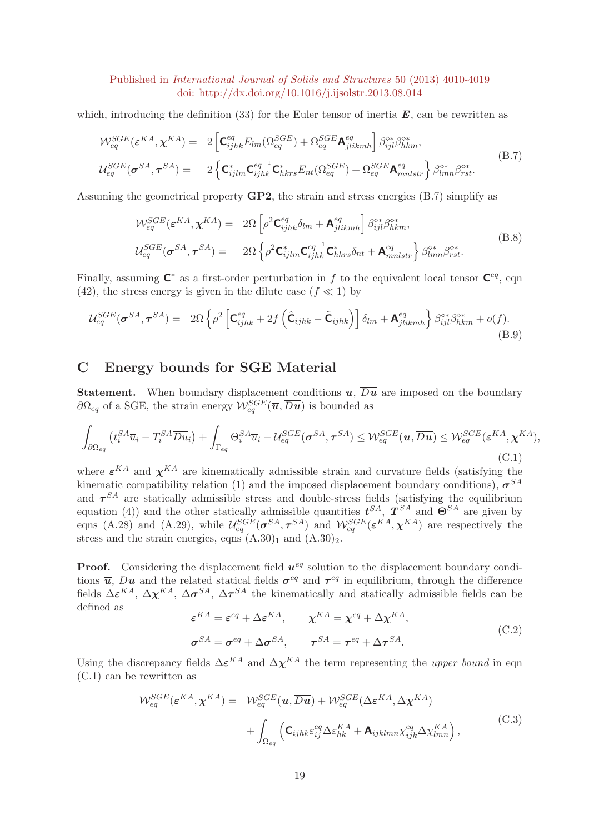which, introducing the definition (33) for the Euler tensor of inertia  $\vec{E}$ , can be rewritten as

$$
\mathcal{W}_{eq}^{SGE}(\boldsymbol{\varepsilon}^{KA}, \boldsymbol{\chi}^{KA}) = 2 \left[ \mathbf{C}_{ijhk}^{eq} E_{lm}(\Omega_{eq}^{SGE}) + \Omega_{eq}^{SGE} \mathbf{A}_{jlikmh}^{eq} \right] \beta_{ijl}^{\diamond*} \beta_{hk}^{\diamond*},
$$
\n
$$
\mathcal{U}_{eq}^{SGE}(\boldsymbol{\sigma}^{SA}, \boldsymbol{\tau}^{SA}) = 2 \left\{ \mathbf{C}_{ijlm}^{*} \mathbf{C}_{ijhk}^{eq^{-1}} \mathbf{C}_{hkrs}^{*} E_{nt}(\Omega_{eq}^{SGE}) + \Omega_{eq}^{SGE} \mathbf{A}_{mnlstr}^{eq} \right\} \beta_{lmn}^{\diamond*} \beta_{rst}^{\diamond*}. \tag{B.7}
$$

Assuming the geometrical property  $\mathbf{G}P2$ , the strain and stress energies (B.7) simplify as

$$
\mathcal{W}_{eq}^{SGE}(\boldsymbol{\varepsilon}^{KA}, \boldsymbol{\chi}^{KA}) = 2\Omega \left[ \rho^2 \mathbf{C}_{ijhk}^{eq} \delta_{lm} + \mathbf{A}_{jlikmh}^{eq} \right] \beta_{ijl}^{\diamond*} \beta_{hkm}^{\diamond*},
$$
\n
$$
\mathcal{U}_{eq}^{SGE}(\boldsymbol{\sigma}^{SA}, \boldsymbol{\tau}^{SA}) = 2\Omega \left\{ \rho^2 \mathbf{C}_{ijlm}^{*} \mathbf{C}_{ijhk}^{eq^{-1}} \mathbf{C}_{hkrs}^{*} \delta_{nt} + \mathbf{A}_{mnlstr}^{eq} \right\} \beta_{lmn}^{\diamond*} \beta_{rst}^{\diamond*}. \tag{B.8}
$$

Finally, assuming  $\mathsf{C}^*$  as a first-order perturbation in f to the equivalent local tensor  $\mathsf{C}^{eq}$ , eqn (42), the stress energy is given in the dilute case ( $f \ll 1$ ) by

$$
\mathcal{U}_{eq}^{SGE}(\boldsymbol{\sigma}^{SA},\boldsymbol{\tau}^{SA}) = 2\Omega \left\{ \rho^2 \left[ \mathbf{C}_{ijhk}^{eq} + 2f \left( \hat{\mathbf{C}}_{ijhk} - \tilde{\mathbf{C}}_{ijhk} \right) \right] \delta_{lm} + \mathbf{A}_{jlikmh}^{eq} \right\} \beta_{ijl}^{\diamond *} \beta_{hk}^{\diamond *} + o(f). \tag{B.9}
$$

## C Energy bounds for SGE Material

**Statement.** When boundary displacement conditions  $\overline{u}$ ,  $\overline{Du}$  are imposed on the boundary  $\partial \Omega_{eq}$  of a SGE, the strain energy  $\mathcal{W}_{eq}^{SGE}(\overline{\bm{u}}, \overline{D\bm{u}})$  is bounded as

$$
\int_{\partial\Omega_{eq}} \left( t_i^{SA} \overline{u}_i + T_i^{SA} \overline{D} \overline{u}_i \right) + \int_{\Gamma_{eq}} \Theta_i^{SA} \overline{u}_i - \mathcal{U}_{eq}^{SGE}(\boldsymbol{\sigma}^{SA}, \boldsymbol{\tau}^{SA}) \leq \mathcal{W}_{eq}^{SGE}(\overline{\boldsymbol{u}}, \overline{D} \overline{\boldsymbol{u}}) \leq \mathcal{W}_{eq}^{SGE}(\boldsymbol{\varepsilon}^{KA}, \boldsymbol{\chi}^{KA}),
$$
\n(C.1)

where  $\varepsilon^{KA}$  and  $\chi^{KA}$  are kinematically admissible strain and curvature fields (satisfying the kinematic compatibility relation (1) and the imposed displacement boundary conditions),  $\sigma^{SA}$ and  $\tau^{SA}$  are statically admissible stress and double-stress fields (satisfying the equilibrium equation (4)) and the other statically admissible quantities  $t^{SA}$ ,  $T^{SA}$  and  $\Theta^{SA}$  are given by eqns (A.28) and (A.29), while  $\mathcal{U}_{eq}^{SGE}(\sigma^{SA}, \tau^{SA})$  and  $\mathcal{W}_{eq}^{SGE}(\varepsilon^{KA}, \chi^{KA})$  are respectively the stress and the strain energies, eqns  $(A.30)<sub>1</sub>$  and  $(A.30)<sub>2</sub>$ .

**Proof.** Considering the displacement field  $u^{eq}$  solution to the displacement boundary conditions  $\overline{u}$ ,  $\overline{Du}$  and the related statical fields  $\sigma^{eq}$  and  $\tau^{eq}$  in equilibrium, through the difference fields  $\Delta \varepsilon^{KA}$ ,  $\Delta \chi^{KA}$ ,  $\Delta \sigma^{SA}$ ,  $\Delta \tau^{SA}$  the kinematically and statically admissible fields can be defined as

$$
\varepsilon^{KA} = \varepsilon^{eq} + \Delta \varepsilon^{KA}, \qquad \chi^{KA} = \chi^{eq} + \Delta \chi^{KA},
$$
\n
$$
\sigma^{SA} = \sigma^{eq} + \Delta \sigma^{SA}, \qquad \tau^{SA} = \tau^{eq} + \Delta \tau^{SA}.
$$
\n(C.2)

Using the discrepancy fields  $\Delta \varepsilon^{KA}$  and  $\Delta \chi^{KA}$  the term representing the *upper bound* in eqn (C.1) can be rewritten as

$$
\mathcal{W}_{eq}^{SGE}(\boldsymbol{\varepsilon}^{KA}, \boldsymbol{\chi}^{KA}) = \mathcal{W}_{eq}^{SGE}(\overline{\mathbf{u}}, \overline{D\mathbf{u}}) + \mathcal{W}_{eq}^{SGE}(\Delta \boldsymbol{\varepsilon}^{KA}, \Delta \boldsymbol{\chi}^{KA}) + \int_{\Omega_{eq}} (\mathbf{C}_{ijhk} \varepsilon_{ij}^{eq} \Delta \varepsilon_{hk}^{KA} + \mathbf{A}_{ijklmn} \chi_{ijk}^{eq} \Delta \chi_{lmn}^{KA}), \tag{C.3}
$$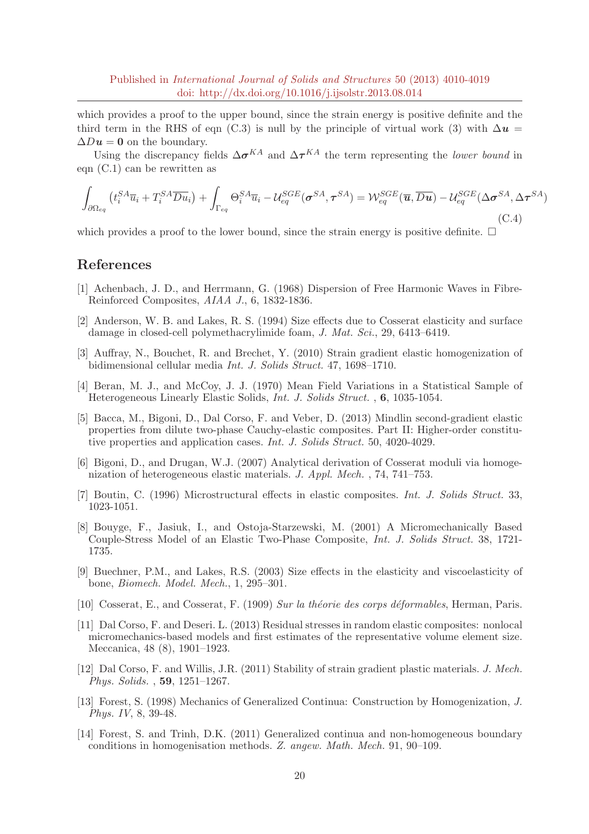which provides a proof to the upper bound, since the strain energy is positive definite and the third term in the RHS of eqn (C.3) is null by the principle of virtual work (3) with  $\Delta u =$  $\Delta Du = 0$  on the boundary.

Using the discrepancy fields  $\Delta \sigma^{KA}$  and  $\Delta \tau^{KA}$  the term representing the *lower bound* in eqn (C.1) can be rewritten as

$$
\int_{\partial\Omega_{eq}} \left( t_i^{SA} \overline{u}_i + T_i^{SA} \overline{Du}_i \right) + \int_{\Gamma_{eq}} \Theta_i^{SA} \overline{u}_i - \mathcal{U}_{eq}^{SGE}(\boldsymbol{\sigma}^{SA}, \boldsymbol{\tau}^{SA}) = \mathcal{W}_{eq}^{SGE}(\overline{\mathbf{u}}, \overline{Du}) - \mathcal{U}_{eq}^{SGE}(\Delta \boldsymbol{\sigma}^{SA}, \Delta \boldsymbol{\tau}^{SA})
$$
\n(C.4)

which provides a proof to the lower bound, since the strain energy is positive definite.  $\Box$ 

### References

- [1] Achenbach, J. D., and Herrmann, G. (1968) Dispersion of Free Harmonic Waves in Fibre-Reinforced Composites, AIAA J., 6, 1832-1836.
- [2] Anderson, W. B. and Lakes, R. S. (1994) Size effects due to Cosserat elasticity and surface damage in closed-cell polymethacrylimide foam, J. Mat. Sci., 29, 6413–6419.
- [3] Auffray, N., Bouchet, R. and Brechet, Y. (2010) Strain gradient elastic homogenization of bidimensional cellular media Int. J. Solids Struct. 47, 1698–1710.
- [4] Beran, M. J., and McCoy, J. J. (1970) Mean Field Variations in a Statistical Sample of Heterogeneous Linearly Elastic Solids, Int. J. Solids Struct. , 6, 1035-1054.
- [5] Bacca, M., Bigoni, D., Dal Corso, F. and Veber, D. (2013) Mindlin second-gradient elastic properties from dilute two-phase Cauchy-elastic composites. Part II: Higher-order constitutive properties and application cases. Int. J. Solids Struct. 50, 4020-4029.
- [6] Bigoni, D., and Drugan, W.J. (2007) Analytical derivation of Cosserat moduli via homogenization of heterogeneous elastic materials. J. Appl. Mech. , 74, 741–753.
- [7] Boutin, C. (1996) Microstructural effects in elastic composites. Int. J. Solids Struct. 33, 1023-1051.
- [8] Bouyge, F., Jasiuk, I., and Ostoja-Starzewski, M. (2001) A Micromechanically Based Couple-Stress Model of an Elastic Two-Phase Composite, Int. J. Solids Struct. 38, 1721- 1735.
- [9] Buechner, P.M., and Lakes, R.S. (2003) Size effects in the elasticity and viscoelasticity of bone, Biomech. Model. Mech., 1, 295–301.
- [10] Cosserat, E., and Cosserat, F. (1909) Sur la théorie des corps déformables, Herman, Paris.
- [11] Dal Corso, F. and Deseri. L. (2013) Residual stresses in random elastic composites: nonlocal micromechanics-based models and first estimates of the representative volume element size. Meccanica, 48 (8), 1901–1923.
- [12] Dal Corso, F. and Willis, J.R. (2011) Stability of strain gradient plastic materials. J. Mech. Phys. Solids. , 59, 1251–1267.
- [13] Forest, S. (1998) Mechanics of Generalized Continua: Construction by Homogenization, J. Phys. IV, 8, 39-48.
- [14] Forest, S. and Trinh, D.K. (2011) Generalized continua and non-homogeneous boundary conditions in homogenisation methods. Z. angew. Math. Mech. 91, 90–109.